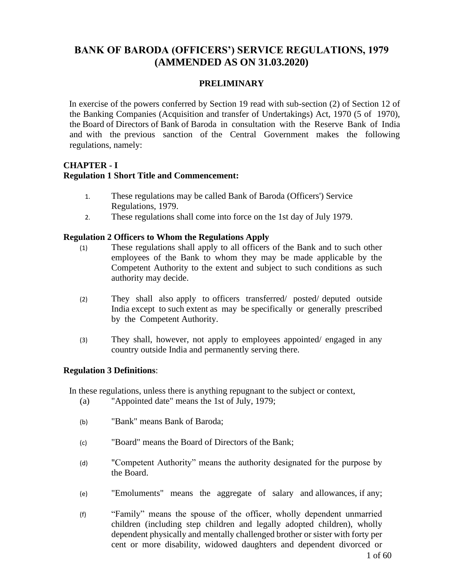# **BANK OF BARODA (OFFICERS') SERVICE REGULATIONS, 1979 (AMMENDED AS ON 31.03.2020)**

## **PRELIMINARY**

In exercise of the powers conferred by Section 19 read with sub-section (2) of Section 12 of the Banking Companies (Acquisition and transfer of Undertakings) Act, 1970 (5 of 1970), the Board of Directors of Bank of Baroda in consultation with the Reserve Bank of India and with the previous sanction of the Central Government makes the following regulations, namely:

# **CHAPTER - I Regulation 1 Short Title and Commencement:**

- 1. These regulations may be called Bank of Baroda (Officers') Service Regulations, 1979.
- 2. These regulations shall come into force on the 1st day of July 1979.

## **Regulation 2 Officers to Whom the Regulations Apply**

- (1) These regulations shall apply to all officers of the Bank and to such other employees of the Bank to whom they may be made applicable by the Competent Authority to the extent and subject to such conditions as such authority may decide.
- (2) They shall also apply to officers transferred/ posted/ deputed outside India except to such extent as may be specifically or generally prescribed by the Competent Authority.
- (3) They shall, however, not apply to employees appointed/ engaged in any country outside India and permanently serving there.

#### **Regulation 3 Definitions**:

In these regulations, unless there is anything repugnant to the subject or context,

- (a) "Appointed date" means the 1st of July, 1979;
- (b) "Bank" means Bank of Baroda;
- (c) "Board" means the Board of Directors of the Bank;
- (d) "Competent Authority" means the authority designated for the purpose by the Board.
- (e) "Emoluments" means the aggregate of salary and allowances, if any;
- (f) "Family" means the spouse of the officer, wholly dependent unmarried children (including step children and legally adopted children), wholly dependent physically and mentally challenged brother or sister with forty per cent or more disability, widowed daughters and dependent divorced or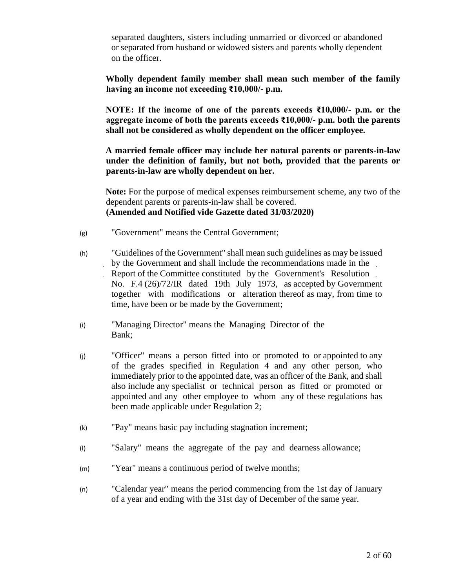separated daughters, sisters including unmarried or divorced or abandoned or separated from husband or widowed sisters and parents wholly dependent on the officer.

**Wholly dependent family member shall mean such member of the family having an income not exceeding ₹10,000/- p.m.** 

**NOTE: If the income of one of the parents exceeds ₹10,000/- p.m. or the aggregate income of both the parents exceeds ₹10,000/- p.m. both the parents shall not be considered as wholly dependent on the officer employee.**

**A married female officer may include her natural parents or parents-in-law under the definition of family, but not both, provided that the parents or parents-in-law are wholly dependent on her.**

**Note:** For the purpose of medical expenses reimbursement scheme, any two of the dependent parents or parents-in-law shall be covered. **(Amended and Notified vide Gazette dated 31/03/2020)**

- (g) "Government" means the Central Government;
- (h) "Guidelines of the Government" shall mean such guidelines as may be issued by the Government and shall include the recommendations made in the Report of the Committee constituted by the Government's Resolution No. F.4 (26)/72/IR dated 19th July 1973, as accepted by Government together with modifications or alteration thereof as may, from time to time, have been or be made by the Government;
- (i) "Managing Director" means the Managing Director of the Bank;
- (j) "Officer" means a person fitted into or promoted to or appointed to any of the grades specified in Regulation 4 and any other person, who immediately prior to the appointed date, was an officer of the Bank, and shall also include any specialist or technical person as fitted or promoted or appointed and any other employee to whom any of these regulations has been made applicable under Regulation 2;
- (k) "Pay" means basic pay including stagnation increment;
- (l) "Salary" means the aggregate of the pay and dearness allowance;
- (m) "Year" means a continuous period of twelve months;
- (n) "Calendar year" means the period commencing from the 1st day of January of a year and ending with the 31st day of December of the same year.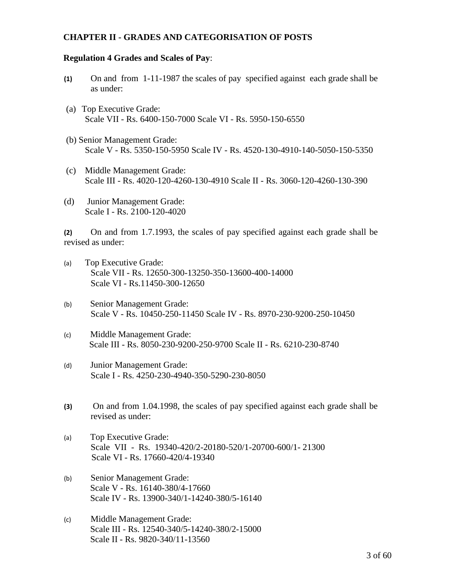### **CHAPTER II - GRADES AND CATEGORISATION OF POSTS**

#### **Regulation 4 Grades and Scales of Pay**:

- **(1)** On and from 1-11-1987 the scales of pay specified against each grade shall be as under:
- (a) Top Executive Grade: Scale VII - Rs. 6400-150-7000 Scale VI - Rs. 5950-150-6550
- (b) Senior Management Grade: Scale V - Rs. 5350-150-5950 Scale IV - Rs. 4520-130-4910-140-5050-150-5350
- (c) Middle Management Grade: Scale III - Rs. 4020-120-4260-130-4910 Scale II - Rs. 3060-120-4260-130-390
- (d) Junior Management Grade: Scale I - Rs. 2100-120-4020

**(2)** On and from 1.7.1993, the scales of pay specified against each grade shall be revised as under:

- (a) Top Executive Grade: Scale VII - Rs. 12650-300-13250-350-13600-400-14000 Scale VI - Rs.11450-300-12650
- (b) Senior Management Grade: Scale V - Rs. 10450-250-11450 Scale IV - Rs. 8970-230-9200-250-10450
- (c) Middle Management Grade: Scale III - Rs. 8050-230-9200-250-9700 Scale II - Rs. 6210-230-8740
- (d) Junior Management Grade: Scale I - Rs. 4250-230-4940-350-5290-230-8050
- **(3)** On and from 1.04.1998, the scales of pay specified against each grade shall be revised as under:
- (a) Top Executive Grade: Scale VII - Rs. 19340-420/2-20180-520/1-20700-600/1- 21300 Scale VI - Rs. 17660-420/4-19340
- (b) Senior Management Grade: Scale V - Rs. 16140-380/4-17660 Scale IV - Rs. 13900-340/1-14240-380/5-16140
- (c) Middle Management Grade: Scale III - Rs. 12540-340/5-14240-380/2-15000 Scale II - Rs. 9820-340/11-13560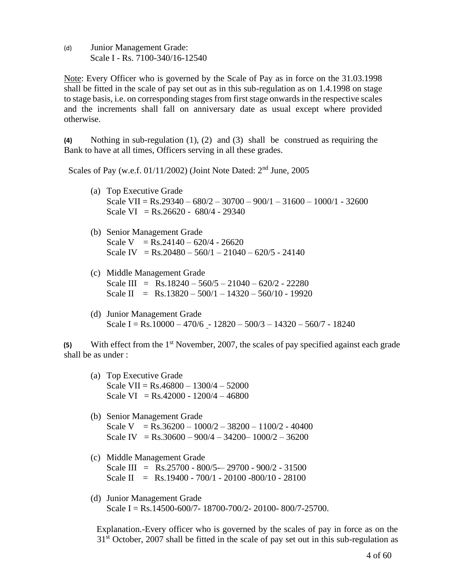(d) Junior Management Grade: Scale I - Rs. 7100-340/16-12540

Note: Every Officer who is governed by the Scale of Pay as in force on the 31.03.1998 shall be fitted in the scale of pay set out as in this sub-regulation as on 1.4.1998 on stage to stage basis, i.e. on corresponding stages from first stage onwards in the respective scales and the increments shall fall on anniversary date as usual except where provided otherwise.

**(4)** Nothing in sub-regulation (1), (2) and (3) shall be construed as requiring the Bank to have at all times, Officers serving in all these grades.

Scales of Pay (w.e.f. 01/11/2002) (Joint Note Dated: 2<sup>nd</sup> June, 2005

- (a) Top Executive Grade Scale VII =  $Rs.29340 - 680/2 - 30700 - 900/1 - 31600 - 1000/1 - 32600$ Scale VI =  $Rs.26620 - 680/4 - 29340$
- (b) Senior Management Grade Scale V =  $Rs.24140 - 620/4 - 26620$ Scale IV = Rs.  $20480 - 560/1 - 21040 - 620/5 - 24140$
- (c) Middle Management Grade Scale III =  $Rs.18240 - 560/5 - 21040 - 620/2 - 22280$ Scale II =  $Rs.13820 - 500/1 - 14320 - 560/10 - 19920$
- (d) Junior Management Grade Scale I = Rs.10000 – 470/6 - 12820 – 500/3 – 14320 – 560/7 - 18240

**(5)** With effect from the 1st November, 2007, the scales of pay specified against each grade shall be as under :

- (a) Top Executive Grade Scale VII =  $Rs.46800 - 1300/4 - 52000$ Scale VI =  $Rs.42000 - 1200/4 - 46800$
- (b) Senior Management Grade Scale V = Rs.36200 –  $1000/2 - 38200 - 1100/2 - 40400$ Scale IV = Rs.30600 – 900/4 – 34200– 1000/2 – 36200
- (c) Middle Management Grade Scale III =  $\text{Rs.}25700 - 800/5 - 29700 - 900/2 - 31500$ Scale II = Rs.19400 - 700/1 - 20100 -800/10 - 28100
- (d) Junior Management Grade Scale I = Rs.14500-600/7- 18700-700/2- 20100- 800/7-25700.

Explanation.-Every officer who is governed by the scales of pay in force as on the  $31<sup>st</sup>$  October, 2007 shall be fitted in the scale of pay set out in this sub-regulation as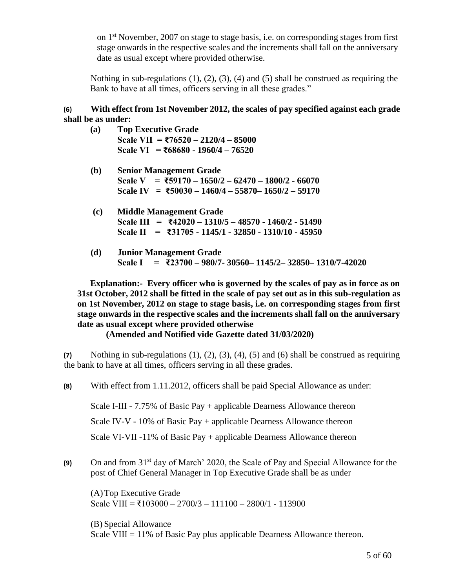on  $1<sup>st</sup>$  November, 2007 on stage to stage basis, i.e. on corresponding stages from first stage onwards in the respective scales and the increments shall fall on the anniversary date as usual except where provided otherwise.

Nothing in sub-regulations  $(1)$ ,  $(2)$ ,  $(3)$ ,  $(4)$  and  $(5)$  shall be construed as requiring the Bank to have at all times, officers serving in all these grades."

# **(6) With effect from 1st November 2012, the scales of pay specified against each grade shall be as under:**

- **(a) Top Executive Grade Scale VII = ₹76520 – 2120/4 – 85000 Scale VI = ₹68680 - 1960/4 – 76520**
- **(b) Senior Management Grade Scale V = ₹59170 – 1650/2 – 62470 – 1800/2 - 66070 Scale IV = ₹50030 – 1460/4 – 55870– 1650/2 – 59170**
- **(c) Middle Management Grade Scale III = ₹42020 – 1310/5 – 48570 - 1460/2 - 51490 Scale II = ₹31705 - 1145/1 - 32850 - 1310/10 - 45950**
- **(d) Junior Management Grade Scale I = ₹23700 – 980/7- 30560– 1145/2– 32850– 1310/7-42020**

**Explanation:- Every officer who is governed by the scales of pay as in force as on 31st October, 2012 shall be fitted in the scale of pay set out as in this sub-regulation as on 1st November, 2012 on stage to stage basis, i.e. on corresponding stages from first stage onwards in the respective scales and the increments shall fall on the anniversary date as usual except where provided otherwise**

**(Amended and Notified vide Gazette dated 31/03/2020)**

**(7)** Nothing in sub-regulations (1), (2), (3), (4), (5) and (6) shall be construed as requiring the bank to have at all times, officers serving in all these grades.

**(8)** With effect from 1.11.2012, officers shall be paid Special Allowance as under:

Scale I-III - 7.75% of Basic Pay + applicable Dearness Allowance thereon

Scale IV-V - 10% of Basic Pay + applicable Dearness Allowance thereon

Scale VI-VII -11% of Basic Pay + applicable Dearness Allowance thereon

**(9)** On and from 31st day of March' 2020, the Scale of Pay and Special Allowance for the post of Chief General Manager in Top Executive Grade shall be as under

(A)Top Executive Grade Scale VIII = ₹103000 – 2700/3 – 111100 – 2800/1 - 113900

(B) Special Allowance Scale VIII  $= 11\%$  of Basic Pay plus applicable Dearness Allowance thereon.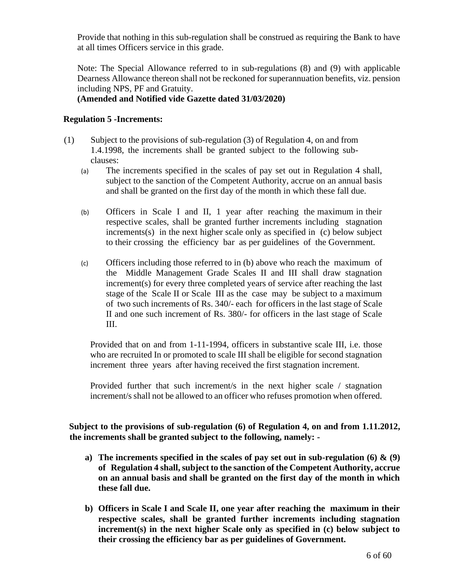Provide that nothing in this sub-regulation shall be construed as requiring the Bank to have at all times Officers service in this grade.

Note: The Special Allowance referred to in sub-regulations (8) and (9) with applicable Dearness Allowance thereon shall not be reckoned for superannuation benefits, viz. pension including NPS, PF and Gratuity.

# **(Amended and Notified vide Gazette dated 31/03/2020)**

# **Regulation 5 -Increments:**

- (1) Subject to the provisions of sub-regulation (3) of Regulation 4, on and from 1.4.1998, the increments shall be granted subject to the following subclauses:
	- (a) The increments specified in the scales of pay set out in Regulation 4 shall, subject to the sanction of the Competent Authority, accrue on an annual basis and shall be granted on the first day of the month in which these fall due.
	- (b) Officers in Scale I and II, 1 year after reaching the maximum in their respective scales, shall be granted further increments including stagnation increments(s) in the next higher scale only as specified in (c) below subject to their crossing the efficiency bar as per guidelines of the Government.
	- (c) Officers including those referred to in (b) above who reach the maximum of the Middle Management Grade Scales II and III shall draw stagnation increment(s) for every three completed years of service after reaching the last stage of the Scale II or Scale III as the case may be subject to a maximum of two such increments of Rs. 340/- each for officers in the last stage of Scale II and one such increment of Rs. 380/- for officers in the last stage of Scale III.

Provided that on and from 1-11-1994, officers in substantive scale III, i.e. those who are recruited In or promoted to scale III shall be eligible for second stagnation increment three years after having received the first stagnation increment.

Provided further that such increment/s in the next higher scale / stagnation increment/s shall not be allowed to an officer who refuses promotion when offered.

**Subject to the provisions of sub-regulation (6) of Regulation 4, on and from 1.11.2012, the increments shall be granted subject to the following, namely: -**

- **a) The increments specified in the scales of pay set out in sub-regulation (6) & (9) of Regulation 4 shall, subject to the sanction of the Competent Authority, accrue on an annual basis and shall be granted on the first day of the month in which these fall due.**
- **b) Officers in Scale I and Scale II, one year after reaching the maximum in their respective scales, shall be granted further increments including stagnation increment(s) in the next higher Scale only as specified in (c) below subject to their crossing the efficiency bar as per guidelines of Government.**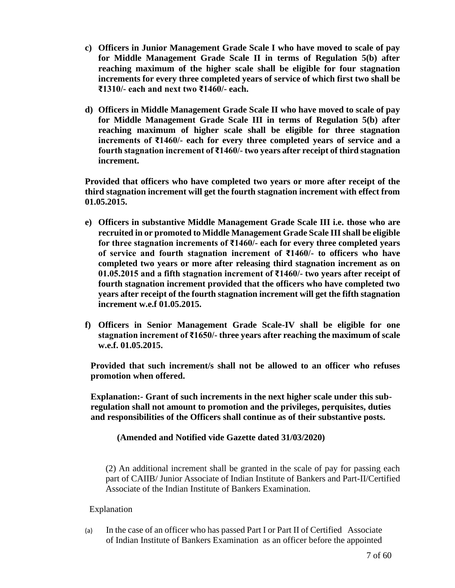- **c) Officers in Junior Management Grade Scale I who have moved to scale of pay for Middle Management Grade Scale II in terms of Regulation 5(b) after reaching maximum of the higher scale shall be eligible for four stagnation increments for every three completed years of service of which first two shall be ₹1310/- each and next two ₹1460/- each.**
- **d) Officers in Middle Management Grade Scale II who have moved to scale of pay for Middle Management Grade Scale III in terms of Regulation 5(b) after reaching maximum of higher scale shall be eligible for three stagnation increments of ₹1460/- each for every three completed years of service and a fourth stagnation increment of ₹1460/- two years after receipt of third stagnation increment.**

**Provided that officers who have completed two years or more after receipt of the third stagnation increment will get the fourth stagnation increment with effect from 01.05.2015.**

- **e) Officers in substantive Middle Management Grade Scale III i.e. those who are recruited in or promoted to Middle Management Grade Scale III shall be eligible for three stagnation increments of ₹1460/- each for every three completed years of service and fourth stagnation increment of ₹1460/- to officers who have completed two years or more after releasing third stagnation increment as on 01.05.2015 and a fifth stagnation increment of ₹1460/- two years after receipt of fourth stagnation increment provided that the officers who have completed two years after receipt of the fourth stagnation increment will get the fifth stagnation increment w.e.f 01.05.2015.**
- **f) Officers in Senior Management Grade Scale-IV shall be eligible for one stagnation increment of ₹1650/- three years after reaching the maximum of scale w.e.f. 01.05.2015.**

**Provided that such increment/s shall not be allowed to an officer who refuses promotion when offered.**

**Explanation:- Grant of such increments in the next higher scale under this subregulation shall not amount to promotion and the privileges, perquisites, duties and responsibilities of the Officers shall continue as of their substantive posts.**

**(Amended and Notified vide Gazette dated 31/03/2020)**

(2) An additional increment shall be granted in the scale of pay for passing each part of CAIIB/ Junior Associate of Indian Institute of Bankers and Part-II/Certified Associate of the Indian Institute of Bankers Examination.

Explanation

(a) In the case of an officer who has passed Part I or Part II of Certified Associate of Indian Institute of Bankers Examination as an officer before the appointed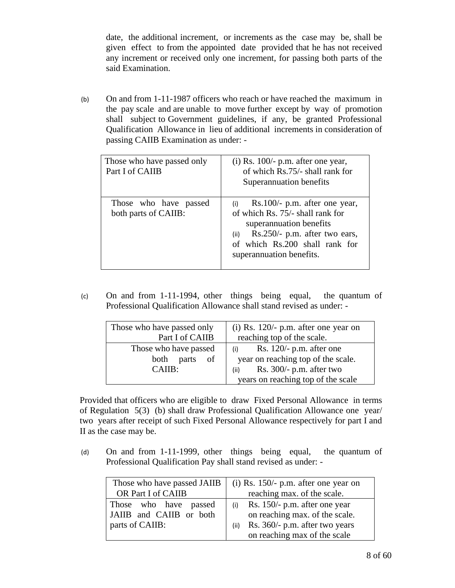date, the additional increment, or increments as the case may be, shall be given effect to from the appointed date provided that he has not received any increment or received only one increment, for passing both parts of the said Examination.

(b) On and from 1-11-1987 officers who reach or have reached the maximum in the pay scale and are unable to move further except by way of promotion shall subject to Government guidelines, if any, be granted Professional Qualification Allowance in lieu of additional increments in consideration of passing CAIIB Examination as under: -

| Those who have passed only<br>Part I of CAIIB | $(i)$ Rs. 100/- p.m. after one year,<br>of which Rs.75/- shall rank for<br>Superannuation benefits                                                                                                           |
|-----------------------------------------------|--------------------------------------------------------------------------------------------------------------------------------------------------------------------------------------------------------------|
| Those who have passed<br>both parts of CAIIB: | $Rs.100/- p.m.$ after one year,<br>(i)<br>of which Rs. 75/- shall rank for<br>superannuation benefits<br>Rs.250/- p.m. after two ears,<br>(ii)<br>of which Rs.200 shall rank for<br>superannuation benefits. |

(c) On and from 1-11-1994, other things being equal, the quantum of Professional Qualification Allowance shall stand revised as under: -

| Those who have passed only<br>Part I of CAIIB  | $(i)$ Rs. 120/- p.m. after one year on<br>reaching top of the scale.     |
|------------------------------------------------|--------------------------------------------------------------------------|
| Those who have passed<br>parts<br>- of<br>both | Rs. $120/-$ p.m. after one<br>(i)<br>year on reaching top of the scale.  |
| CAIIB:                                         | Rs. $300/-$ p.m. after two<br>(ii)<br>years on reaching top of the scale |

Provided that officers who are eligible to draw Fixed Personal Allowance in terms of Regulation 5(3) (b) shall draw Professional Qualification Allowance one year/ two years after receipt of such Fixed Personal Allowance respectively for part I and II as the case may be.

(d) On and from 1-11-1999, other things being equal, the quantum of Professional Qualification Pay shall stand revised as under: -

| Those who have passed JAIIB | $(i)$ Rs. 150/- p.m. after one year on |
|-----------------------------|----------------------------------------|
| OR Part I of CAIIB          | reaching max. of the scale.            |
| Those who have<br>passed    | Rs. 150/- p.m. after one year          |
| JAIIB and CAIIB or both     | on reaching max. of the scale.         |
| parts of CAIIB:             | Rs. 360/- p.m. after two years<br>(ii) |
|                             | on reaching max of the scale           |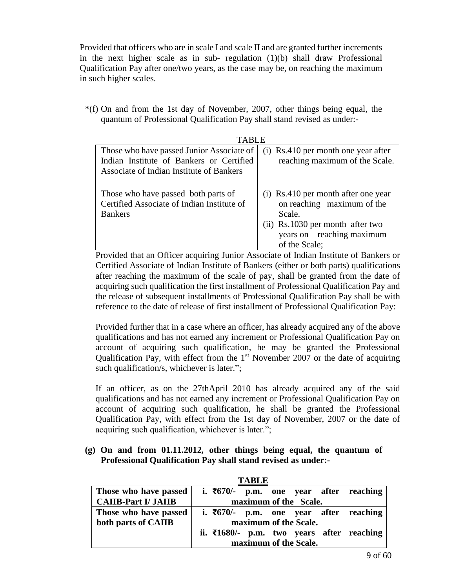Provided that officers who are in scale I and scale II and are granted further increments in the next higher scale as in sub- regulation  $(1)(b)$  shall draw Professional Qualification Pay after one/two years, as the case may be, on reaching the maximum in such higher scales.

\*(f) On and from the 1st day of November, 2007, other things being equal, the quantum of Professional Qualification Pay shall stand revised as under:-

| TABLE                                                                                                                             |                                                                                                                                                               |
|-----------------------------------------------------------------------------------------------------------------------------------|---------------------------------------------------------------------------------------------------------------------------------------------------------------|
| Those who have passed Junior Associate of<br>Indian Institute of Bankers or Certified<br>Associate of Indian Institute of Bankers | (i) Rs.410 per month one year after<br>reaching maximum of the Scale.                                                                                         |
| Those who have passed both parts of<br>Certified Associate of Indian Institute of<br><b>Bankers</b>                               | (i) Rs.410 per month after one year<br>on reaching maximum of the<br>Scale.<br>(ii) Rs.1030 per month after two<br>years on reaching maximum<br>of the Scale; |

Provided that an Officer acquiring Junior Associate of Indian Institute of Bankers or Certified Associate of Indian Institute of Bankers (either or both parts) qualifications after reaching the maximum of the scale of pay, shall be granted from the date of acquiring such qualification the first installment of Professional Qualification Pay and the release of subsequent installments of Professional Qualification Pay shall be with reference to the date of release of first installment of Professional Qualification Pay:

Provided further that in a case where an officer, has already acquired any of the above qualifications and has not earned any increment or Professional Qualification Pay on account of acquiring such qualification, he may be granted the Professional Qualification Pay, with effect from the  $1<sup>st</sup>$  November 2007 or the date of acquiring such qualification/s, whichever is later.";

If an officer, as on the 27thApril 2010 has already acquired any of the said qualifications and has not earned any increment or Professional Qualification Pay on account of acquiring such qualification, he shall be granted the Professional Qualification Pay, with effect from the 1st day of November, 2007 or the date of acquiring such qualification, whichever is later.";

# **(g) On and from 01.11.2012***,* **other things being equal, the quantum of Professional Qualification Pay shall stand revised as under:-**

|                            |  | 1 ABLE |                       |                                                      |
|----------------------------|--|--------|-----------------------|------------------------------------------------------|
| Those who have passed      |  |        |                       | i. $\overline{670/-}$ p.m. one year after reaching   |
| <b>CAIIB-Part I/ JAIIB</b> |  |        | maximum of the Scale. |                                                      |
| Those who have passed      |  |        |                       | i. $\overline{670/-}$ p.m. one year after reaching   |
| both parts of CAIIB        |  |        | maximum of the Scale. |                                                      |
|                            |  |        |                       | ii. $\overline{21680}$ p.m. two years after reaching |
|                            |  |        | maximum of the Scale. |                                                      |

**TABLE**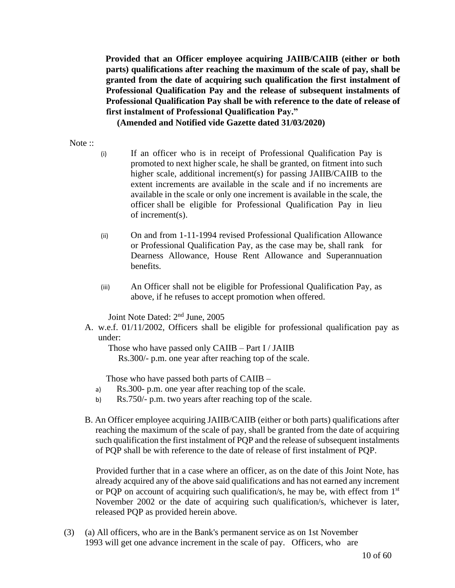**Provided that an Officer employee acquiring JAIIB/CAIIB (either or both parts) qualifications after reaching the maximum of the scale of pay, shall be granted from the date of acquiring such qualification the first instalment of Professional Qualification Pay and the release of subsequent instalments of Professional Qualification Pay shall be with reference to the date of release of first instalment of Professional Qualification Pay."**

**(Amended and Notified vide Gazette dated 31/03/2020)**

#### Note ::

- (i) If an officer who is in receipt of Professional Qualification Pay is promoted to next higher scale, he shall be granted, on fitment into such higher scale, additional increment(s) for passing JAIIB/CAIIB to the extent increments are available in the scale and if no increments are available in the scale or only one increment is available in the scale, the officer shall be eligible for Professional Qualification Pay in lieu of increment(s).
- (ii) On and from 1-11-1994 revised Professional Qualification Allowance or Professional Qualification Pay, as the case may be, shall rank for Dearness Allowance, House Rent Allowance and Superannuation benefits.
- (iii) An Officer shall not be eligible for Professional Qualification Pay, as above, if he refuses to accept promotion when offered.

Joint Note Dated: 2nd June, 2005

A. w.e.f. 01/11/2002, Officers shall be eligible for professional qualification pay as under:

Those who have passed only CAIIB – Part I / JAIIB

Rs.300/- p.m. one year after reaching top of the scale.

Those who have passed both parts of CAIIB –

- a) Rs.300- p.m. one year after reaching top of the scale.
- b) Rs.750/- p.m. two years after reaching top of the scale.
- B. An Officer employee acquiring JAIIB/CAIIB (either or both parts) qualifications after reaching the maximum of the scale of pay, shall be granted from the date of acquiring such qualification the first instalment of PQP and the release of subsequent instalments of PQP shall be with reference to the date of release of first instalment of PQP.

 Provided further that in a case where an officer, as on the date of this Joint Note, has already acquired any of the above said qualifications and has not earned any increment or PQP on account of acquiring such qualification/s, he may be, with effect from  $1<sup>st</sup>$ November 2002 or the date of acquiring such qualification/s, whichever is later, released PQP as provided herein above.

(3) (a) All officers, who are in the Bank's permanent service as on 1st November 1993 will get one advance increment in the scale of pay. Officers, who are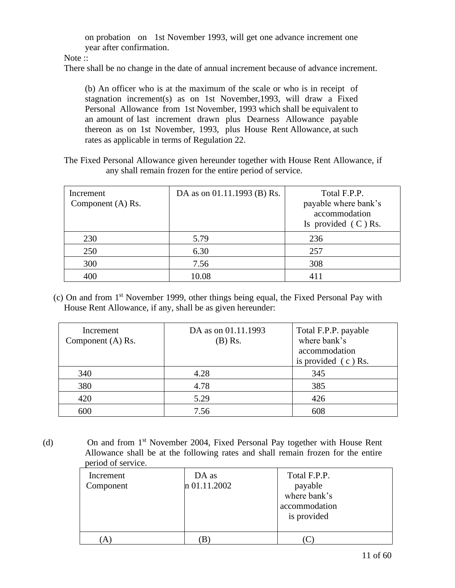on probation on 1st November 1993, will get one advance increment one year after confirmation.

Note ::

There shall be no change in the date of annual increment because of advance increment.

(b) An officer who is at the maximum of the scale or who is in receipt of stagnation increment(s) as on 1st November,1993, will draw a Fixed Personal Allowance from 1st November, 1993 which shall be equivalent to an amount of last increment drawn plus Dearness Allowance payable thereon as on 1st November, 1993, plus House Rent Allowance, at such rates as applicable in terms of Regulation 22.

The Fixed Personal Allowance given hereunder together with House Rent Allowance, if any shall remain frozen for the entire period of service.

| Increment<br>Component (A) Rs. | DA as on 01.11.1993 (B) Rs. | Total F.P.P.<br>payable where bank's<br>accommodation<br>Is provided $(C)$ Rs. |
|--------------------------------|-----------------------------|--------------------------------------------------------------------------------|
| 230                            | 5.79                        | 236                                                                            |
| 250                            | 6.30                        | 257                                                                            |
| 300                            | 7.56                        | 308                                                                            |
| 400                            | 10.08                       | 411                                                                            |

(c) On and from 1st November 1999, other things being equal, the Fixed Personal Pay with House Rent Allowance, if any, shall be as given hereunder:

| Increment<br>Component (A) Rs. | DA as on 01.11.1993<br>$(B)$ Rs. | Total F.P.P. payable<br>where bank's<br>accommodation<br>is provided $(c)$ Rs. |
|--------------------------------|----------------------------------|--------------------------------------------------------------------------------|
| 340                            | 4.28                             | 345                                                                            |
| 380                            | 4.78                             | 385                                                                            |
| 420                            | 5.29                             | 426                                                                            |
| 600                            | 7.56                             | 608                                                                            |

(d) On and from 1st November 2004, Fixed Personal Pay together with House Rent Allowance shall be at the following rates and shall remain frozen for the entire period of service.

| Increment<br>Component | DA as<br>n 01.11.2002 | Total F.P.P.<br>payable<br>where bank's<br>accommodation<br>is provided |
|------------------------|-----------------------|-------------------------------------------------------------------------|
| A)                     | В                     |                                                                         |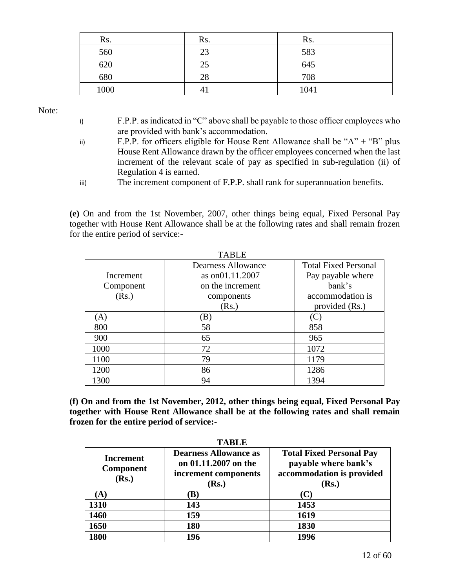| Rs.  | Rs. | Rs.  |
|------|-----|------|
| 560  | 23  | 583  |
| 620  | 25  | 645  |
| 680  | 28  | 708  |
| 1000 |     | 1041 |

Note:

- i) F.P.P. as indicated in "C" above shall be payable to those officer employees who are provided with bank's accommodation.
- ii) F.P.P. for officers eligible for House Rent Allowance shall be " $A$ " + " $B$ " plus House Rent Allowance drawn by the officer employees concerned when the last increment of the relevant scale of pay as specified in sub-regulation (ii) of Regulation 4 is earned.

iii) The increment component of F.P.P. shall rank for superannuation benefits.

**(e)** On and from the 1st November, 2007, other things being equal, Fixed Personal Pay together with House Rent Allowance shall be at the following rates and shall remain frozen for the entire period of service:-

|           | <b>TABLE</b>       |                             |
|-----------|--------------------|-----------------------------|
|           | Dearness Allowance | <b>Total Fixed Personal</b> |
| Increment | as on01.11.2007    | Pay payable where           |
| Component | on the increment   | bank's                      |
| (Rs.)     | components         | accommodation is            |
|           | (Rs.)              | provided (Rs.)              |
| (A)       | (B)                | $\mathbf C$                 |
| 800       | 58                 | 858                         |
| 900       | 65                 | 965                         |
| 1000      | 72                 | 1072                        |
| 1100      | 79                 | 1179                        |
| 1200      | 86                 | 1286                        |
| 1300      | 94                 | 1394                        |

**(f) On and from the 1st November, 2012, other things being equal, Fixed Personal Pay together with House Rent Allowance shall be at the following rates and shall remain frozen for the entire period of service:-**

| TARLE                                  |                                                                                             |                                                                                                        |  |  |
|----------------------------------------|---------------------------------------------------------------------------------------------|--------------------------------------------------------------------------------------------------------|--|--|
| Increment<br><b>Component</b><br>(Rs.) | <b>Dearness Allowance as</b><br>on 01.11.2007 on the<br>increment components<br><b>Rs.)</b> | <b>Total Fixed Personal Pay</b><br>payable where bank's<br>accommodation is provided<br>( <b>Rs.</b> ) |  |  |
| A)                                     | $\bf (B)$                                                                                   | C                                                                                                      |  |  |
| 1310                                   | 143                                                                                         | 1453                                                                                                   |  |  |
| 1460                                   | 159                                                                                         | 1619                                                                                                   |  |  |
| 1650                                   | 180                                                                                         | 1830                                                                                                   |  |  |
| 1800                                   | 196                                                                                         | 1996                                                                                                   |  |  |

**TABLE**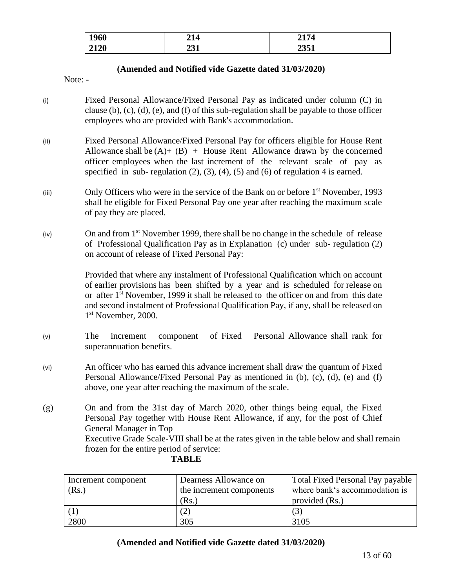| 1960 | - - -     | 2174            |
|------|-----------|-----------------|
| 2120 | 991<br>⊷⊥ | 89 F 1<br>2JJ 1 |

### **(Amended and Notified vide Gazette dated 31/03/2020)**

Note: -

- (i) Fixed Personal Allowance/Fixed Personal Pay as indicated under column (C) in clause (b), (c), (d), (e), and (f) of this sub-regulation shall be payable to those officer employees who are provided with Bank's accommodation.
- (ii) Fixed Personal Allowance/Fixed Personal Pay for officers eligible for House Rent Allowance shall be  $(A)$  +  $(B)$  + House Rent Allowance drawn by the concerned officer employees when the last increment of the relevant scale of pay as specified in sub-regulation  $(2)$ ,  $(3)$ ,  $(4)$ ,  $(5)$  and  $(6)$  of regulation 4 is earned.
- (iii) Only Officers who were in the service of the Bank on or before  $1<sup>st</sup>$  November, 1993 shall be eligible for Fixed Personal Pay one year after reaching the maximum scale of pay they are placed.
- (iv) On and from 1st November 1999, there shall be no change in the schedule of release of Professional Qualification Pay as in Explanation (c) under sub- regulation (2) on account of release of Fixed Personal Pay:

Provided that where any instalment of Professional Qualification which on account of earlier provisions has been shifted by a year and is scheduled for release on or after  $1<sup>st</sup>$  November, 1999 it shall be released to the officer on and from this date and second instalment of Professional Qualification Pay, if any, shall be released on 1 st November, 2000.

- (v) The increment component of Fixed Personal Allowance shall rank for superannuation benefits.
- (vi) An officer who has earned this advance increment shall draw the quantum of Fixed Personal Allowance/Fixed Personal Pay as mentioned in (b), (c), (d), (e) and (f) above, one year after reaching the maximum of the scale.
- (g) On and from the 31st day of March 2020, other things being equal, the Fixed Personal Pay together with House Rent Allowance, if any, for the post of Chief General Manager in Top Executive Grade Scale-VIII shall be at the rates given in the table below and shall remain frozen for the entire period of service:

| Increment component<br>(Rs.) | Dearness Allowance on<br>the increment components | <b>Total Fixed Personal Pay payable</b><br>where bank's accommodation is |
|------------------------------|---------------------------------------------------|--------------------------------------------------------------------------|
|                              | (Rs.)                                             | provided (Rs.)                                                           |
|                              |                                                   | (3)                                                                      |
| 2800                         | 305                                               | 3105                                                                     |

### **TABLE**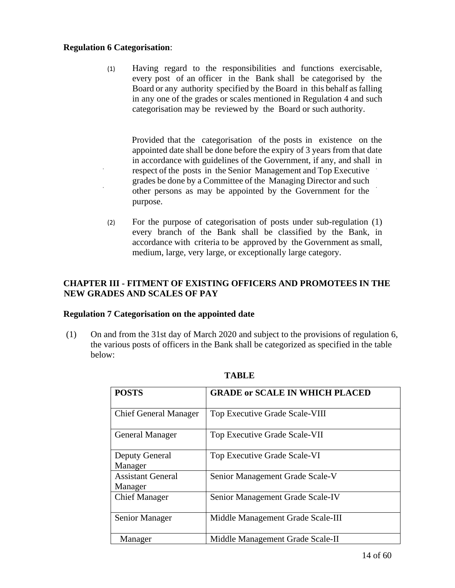## **Regulation 6 Categorisation**:

(1) Having regard to the responsibilities and functions exercisable, every post of an officer in the Bank shall be categorised by the Board or any authority specified by the Board in this behalf as falling in any one of the grades or scales mentioned in Regulation 4 and such categorisation may be reviewed by the Board or such authority.

Provided that the categorisation of the posts in existence on the appointed date shall be done before the expiry of 3 years from that date in accordance with guidelines of the Government, if any, and shall in respect of the posts in the Senior Management and Top Executive grades be done by a Committee of the Managing Director and such other persons as may be appointed by the Government for the purpose.

(2) For the purpose of categorisation of posts under sub-regulation (1) every branch of the Bank shall be classified by the Bank, in accordance with criteria to be approved by the Government as small, medium, large, very large, or exceptionally large category.

# **CHAPTER III - FITMENT OF EXISTING OFFICERS AND PROMOTEES IN THE NEW GRADES AND SCALES OF PAY**

## **Regulation 7 Categorisation on the appointed date**

(1) On and from the 31st day of March 2020 and subject to the provisions of regulation 6, the various posts of officers in the Bank shall be categorized as specified in the table below:

| <b>POSTS</b>                        | <b>GRADE or SCALE IN WHICH PLACED</b> |
|-------------------------------------|---------------------------------------|
| <b>Chief General Manager</b>        | Top Executive Grade Scale-VIII        |
| <b>General Manager</b>              | Top Executive Grade Scale-VII         |
| <b>Deputy General</b><br>Manager    | Top Executive Grade Scale-VI          |
| <b>Assistant General</b><br>Manager | Senior Management Grade Scale-V       |
| <b>Chief Manager</b>                | Senior Management Grade Scale-IV      |
| Senior Manager                      | Middle Management Grade Scale-III     |
| Manager                             | Middle Management Grade Scale-II      |

## **TABLE**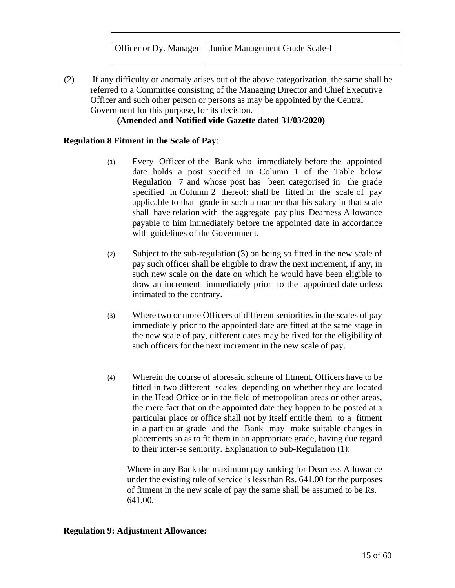(2) If any difficulty or anomaly arises out of the above categorization, the same shall be referred to a Committee consisting of the Managing Director and Chief Executive Officer and such other person or persons as may be appointed by the Central Government for this purpose, for its decision.

# **(Amended and Notified vide Gazette dated 31/03/2020)**

# **Regulation 8 Fitment in the Scale of Pay**:

- (1) Every Officer of the Bank who immediately before the appointed date holds a post specified in Column 1 of the Table below Regulation 7 and whose post has been categorised in the grade specified in Column 2 thereof; shall be fitted in the scale of pay applicable to that grade in such a manner that his salary in that scale shall have relation with the aggregate pay plus Dearness Allowance payable to him immediately before the appointed date in accordance with guidelines of the Government.
- (2) Subject to the sub-regulation (3) on being so fitted in the new scale of pay such officer shall be eligible to draw the next increment, if any, in such new scale on the date on which he would have been eligible to draw an increment immediately prior to the appointed date unless intimated to the contrary.
- (3) Where two or more Officers of different seniorities in the scales of pay immediately prior to the appointed date are fitted at the same stage in the new scale of pay, different dates may be fixed for the eligibility of such officers for the next increment in the new scale of pay.
- (4) Wherein the course of aforesaid scheme of fitment, Officers have to be fitted in two different scales depending on whether they are located in the Head Office or in the field of metropolitan areas or other areas, the mere fact that on the appointed date they happen to be posted at a particular place or office shall not by itself entitle them to a fitment in a particular grade and the Bank may make suitable changes in placements so as to fit them in an appropriate grade, having due regard to their inter-se seniority. Explanation to Sub-Regulation (1):

Where in any Bank the maximum pay ranking for Dearness Allowance under the existing rule of service is less than Rs. 641.00 for the purposes of fitment in the new scale of pay the same shall be assumed to be Rs. 641.00.

## **Regulation 9: Adjustment Allowance:**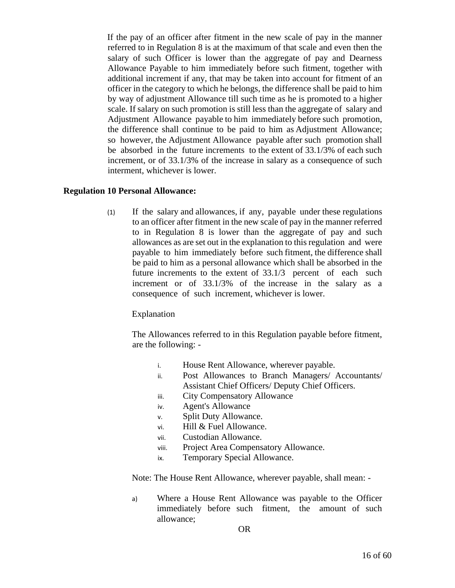If the pay of an officer after fitment in the new scale of pay in the manner referred to in Regulation 8 is at the maximum of that scale and even then the salary of such Officer is lower than the aggregate of pay and Dearness Allowance Payable to him immediately before such fitment, together with additional increment if any, that may be taken into account for fitment of an officer in the category to which he belongs, the difference shall be paid to him by way of adjustment Allowance till such time as he is promoted to a higher scale. If salary on such promotion is still less than the aggregate of salary and Adjustment Allowance payable to him immediately before such promotion, the difference shall continue to be paid to him as Adjustment Allowance; so however, the Adjustment Allowance payable after such promotion shall be absorbed in the future increments to the extent of 33.1/3% of each such increment, or of 33.1/3% of the increase in salary as a consequence of such interment, whichever is lower.

#### **Regulation 10 Personal Allowance:**

(1) If the salary and allowances, if any, payable under these regulations to an officer after fitment in the new scale of pay in the manner referred to in Regulation 8 is lower than the aggregate of pay and such allowances as are set out in the explanation to this regulation and were payable to him immediately before such fitment, the difference shall be paid to him as a personal allowance which shall be absorbed in the future increments to the extent of 33.1/3 percent of each such increment or of 33.1/3% of the increase in the salary as a consequence of such increment, whichever is lower.

#### Explanation

The Allowances referred to in this Regulation payable before fitment, are the following: -

- i. House Rent Allowance, wherever payable.
- ii. Post Allowances to Branch Managers/ Accountants/ Assistant Chief Officers/ Deputy Chief Officers.
- iii. City Compensatory Allowance
- iv. Agent's Allowance
- v. Split Duty Allowance.
- vi. Hill & Fuel Allowance.
- vii. Custodian Allowance.
- viii. Project Area Compensatory Allowance.
- ix. Temporary Special Allowance.

Note: The House Rent Allowance, wherever payable, shall mean: -

a) Where a House Rent Allowance was payable to the Officer immediately before such fitment, the amount of such allowance;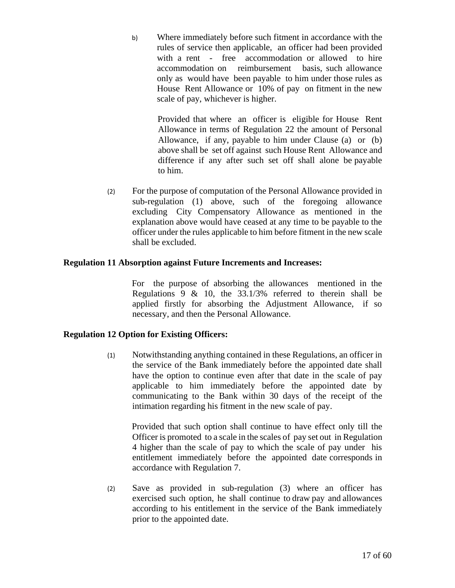b) Where immediately before such fitment in accordance with the rules of service then applicable, an officer had been provided with a rent - free accommodation or allowed to hire accommodation on reimbursement basis, such allowance only as would have been payable to him under those rules as House Rent Allowance or 10% of pay on fitment in the new scale of pay, whichever is higher.

> Provided that where an officer is eligible for House Rent Allowance in terms of Regulation 22 the amount of Personal Allowance, if any, payable to him under Clause (a) or (b) above shall be set off against such House Rent Allowance and difference if any after such set off shall alone be payable to him.

(2) For the purpose of computation of the Personal Allowance provided in sub-regulation (1) above, such of the foregoing allowance excluding City Compensatory Allowance as mentioned in the explanation above would have ceased at any time to be payable to the officer under the rules applicable to him before fitment in the new scale shall be excluded.

# **Regulation 11 Absorption against Future Increments and Increases:**

For the purpose of absorbing the allowances mentioned in the Regulations 9  $\&$  10, the 33.1/3% referred to therein shall be applied firstly for absorbing the Adjustment Allowance, if so necessary, and then the Personal Allowance.

# **Regulation 12 Option for Existing Officers:**

(1) Notwithstanding anything contained in these Regulations, an officer in the service of the Bank immediately before the appointed date shall have the option to continue even after that date in the scale of pay applicable to him immediately before the appointed date by communicating to the Bank within 30 days of the receipt of the intimation regarding his fitment in the new scale of pay.

Provided that such option shall continue to have effect only till the Officer is promoted to a scale in the scales of pay set out in Regulation 4 higher than the scale of pay to which the scale of pay under his entitlement immediately before the appointed date corresponds in accordance with Regulation 7.

(2) Save as provided in sub-regulation (3) where an officer has exercised such option, he shall continue to draw pay and allowances according to his entitlement in the service of the Bank immediately prior to the appointed date.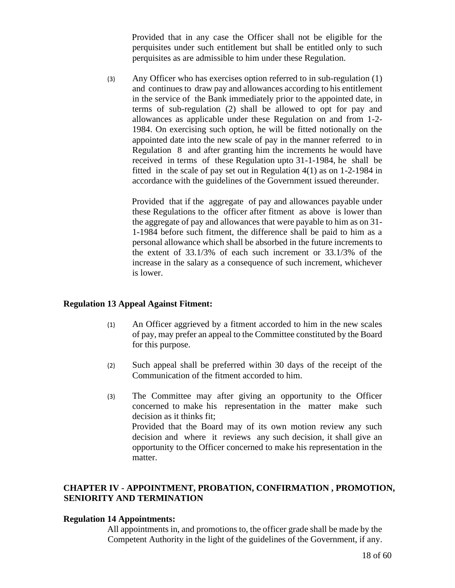Provided that in any case the Officer shall not be eligible for the perquisites under such entitlement but shall be entitled only to such perquisites as are admissible to him under these Regulation.

(3) Any Officer who has exercises option referred to in sub-regulation (1) and continues to draw pay and allowances according to his entitlement in the service of the Bank immediately prior to the appointed date, in terms of sub-regulation (2) shall be allowed to opt for pay and allowances as applicable under these Regulation on and from 1-2- 1984. On exercising such option, he will be fitted notionally on the appointed date into the new scale of pay in the manner referred to in Regulation 8 and after granting him the increments he would have received in terms of these Regulation upto 31-1-1984, he shall be fitted in the scale of pay set out in Regulation 4(1) as on 1-2-1984 in accordance with the guidelines of the Government issued thereunder.

Provided that if the aggregate of pay and allowances payable under these Regulations to the officer after fitment as above is lower than the aggregate of pay and allowances that were payable to him as on 31- 1-1984 before such fitment, the difference shall be paid to him as a personal allowance which shall be absorbed in the future increments to the extent of 33.1/3% of each such increment or 33.1/3% of the increase in the salary as a consequence of such increment, whichever is lower.

#### **Regulation 13 Appeal Against Fitment:**

- (1) An Officer aggrieved by a fitment accorded to him in the new scales of pay, may prefer an appeal to the Committee constituted by the Board for this purpose.
- (2) Such appeal shall be preferred within 30 days of the receipt of the Communication of the fitment accorded to him.
- (3) The Committee may after giving an opportunity to the Officer concerned to make his representation in the matter make such decision as it thinks fit; Provided that the Board may of its own motion review any such decision and where it reviews any such decision, it shall give an opportunity to the Officer concerned to make his representation in the matter.

## **CHAPTER IV - APPOINTMENT, PROBATION, CONFIRMATION , PROMOTION, SENIORITY AND TERMINATION**

#### **Regulation 14 Appointments:**

All appointments in, and promotions to, the officer grade shall be made by the Competent Authority in the light of the guidelines of the Government, if any.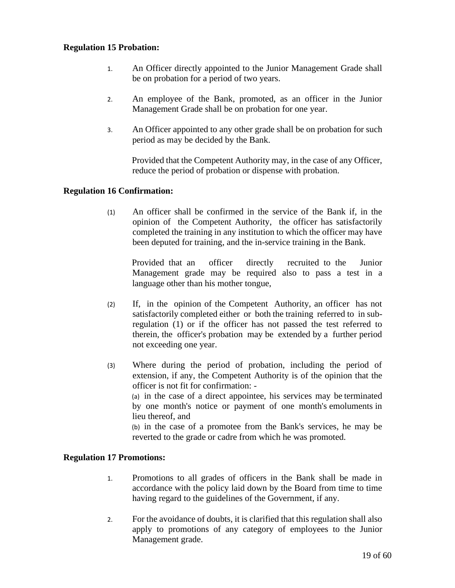## **Regulation 15 Probation:**

- 1. An Officer directly appointed to the Junior Management Grade shall be on probation for a period of two years.
- 2. An employee of the Bank, promoted, as an officer in the Junior Management Grade shall be on probation for one year.
- 3. An Officer appointed to any other grade shall be on probation for such period as may be decided by the Bank.

Provided that the Competent Authority may, in the case of any Officer, reduce the period of probation or dispense with probation.

#### **Regulation 16 Confirmation:**

(1) An officer shall be confirmed in the service of the Bank if, in the opinion of the Competent Authority, the officer has satisfactorily completed the training in any institution to which the officer may have been deputed for training, and the in-service training in the Bank.

Provided that an officer directly recruited to the Junior Management grade may be required also to pass a test in a language other than his mother tongue,

- (2) If, in the opinion of the Competent Authority, an officer has not satisfactorily completed either or both the training referred to in subregulation (1) or if the officer has not passed the test referred to therein, the officer's probation may be extended by a further period not exceeding one year.
- (3) Where during the period of probation, including the period of extension, if any, the Competent Authority is of the opinion that the officer is not fit for confirmation: - (a) in the case of a direct appointee, his services may be terminated by one month's notice or payment of one month's emoluments in lieu thereof, and (b) in the case of a promotee from the Bank's services, he may be reverted to the grade or cadre from which he was promoted.

#### **Regulation 17 Promotions:**

- 1. Promotions to all grades of officers in the Bank shall be made in accordance with the policy laid down by the Board from time to time having regard to the guidelines of the Government, if any.
- 2. For the avoidance of doubts, it is clarified that this regulation shall also apply to promotions of any category of employees to the Junior Management grade.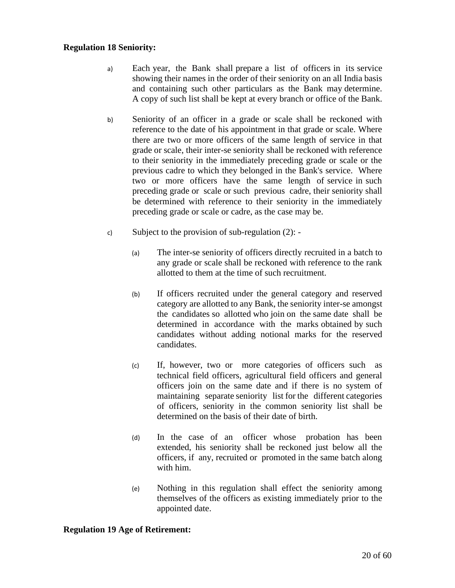#### **Regulation 18 Seniority:**

- a) Each year, the Bank shall prepare a list of officers in its service showing their names in the order of their seniority on an all India basis and containing such other particulars as the Bank may determine. A copy of such list shall be kept at every branch or office of the Bank.
- b) Seniority of an officer in a grade or scale shall be reckoned with reference to the date of his appointment in that grade or scale. Where there are two or more officers of the same length of service in that grade or scale, their inter-se seniority shall be reckoned with reference to their seniority in the immediately preceding grade or scale or the previous cadre to which they belonged in the Bank's service. Where two or more officers have the same length of service in such preceding grade or scale or such previous cadre, their seniority shall be determined with reference to their seniority in the immediately preceding grade or scale or cadre, as the case may be.
- c) Subject to the provision of sub-regulation (2):
	- (a) The inter-se seniority of officers directly recruited in a batch to any grade or scale shall be reckoned with reference to the rank allotted to them at the time of such recruitment.
	- (b) If officers recruited under the general category and reserved category are allotted to any Bank, the seniority inter-se amongst the candidates so allotted who join on the same date shall be determined in accordance with the marks obtained by such candidates without adding notional marks for the reserved candidates.
	- (c) If, however, two or more categories of officers such as technical field officers, agricultural field officers and general officers join on the same date and if there is no system of maintaining separate seniority list for the different categories of officers, seniority in the common seniority list shall be determined on the basis of their date of birth.
	- (d) In the case of an officer whose probation has been extended, his seniority shall be reckoned just below all the officers, if any, recruited or promoted in the same batch along with him.
	- (e) Nothing in this regulation shall effect the seniority among themselves of the officers as existing immediately prior to the appointed date.

#### **Regulation 19 Age of Retirement:**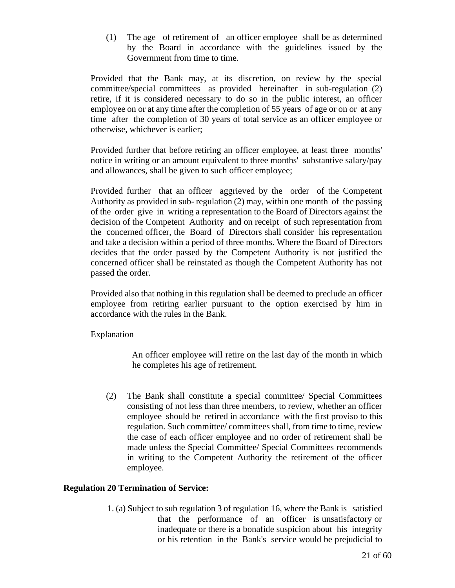(1) The age of retirement of an officer employee shall be as determined by the Board in accordance with the guidelines issued by the Government from time to time.

Provided that the Bank may, at its discretion, on review by the special committee/special committees as provided hereinafter in sub-regulation (2) retire, if it is considered necessary to do so in the public interest, an officer employee on or at any time after the completion of 55 years of age or on or at any time after the completion of 30 years of total service as an officer employee or otherwise, whichever is earlier;

Provided further that before retiring an officer employee, at least three months' notice in writing or an amount equivalent to three months' substantive salary/pay and allowances, shall be given to such officer employee;

Provided further that an officer aggrieved by the order of the Competent Authority as provided in sub- regulation (2) may, within one month of the passing of the order give in writing a representation to the Board of Directors against the decision of the Competent Authority and on receipt of such representation from the concerned officer, the Board of Directors shall consider his representation and take a decision within a period of three months. Where the Board of Directors decides that the order passed by the Competent Authority is not justified the concerned officer shall be reinstated as though the Competent Authority has not passed the order.

Provided also that nothing in this regulation shall be deemed to preclude an officer employee from retiring earlier pursuant to the option exercised by him in accordance with the rules in the Bank.

Explanation

An officer employee will retire on the last day of the month in which he completes his age of retirement.

(2) The Bank shall constitute a special committee/ Special Committees consisting of not less than three members, to review, whether an officer employee should be retired in accordance with the first proviso to this regulation. Such committee/ committees shall, from time to time, review the case of each officer employee and no order of retirement shall be made unless the Special Committee/ Special Committees recommends in writing to the Competent Authority the retirement of the officer employee.

# **Regulation 20 Termination of Service:**

1. (a) Subject to sub regulation 3 of regulation 16, where the Bank is satisfied that the performance of an officer is unsatisfactory or inadequate or there is a bonafide suspicion about his integrity or his retention in the Bank's service would be prejudicial to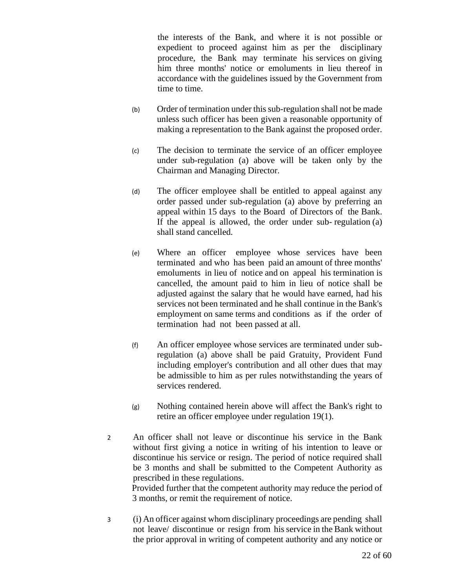the interests of the Bank, and where it is not possible or expedient to proceed against him as per the disciplinary procedure, the Bank may terminate his services on giving him three months' notice or emoluments in lieu thereof in accordance with the guidelines issued by the Government from time to time.

- (b) Order of termination under this sub-regulation shall not be made unless such officer has been given a reasonable opportunity of making a representation to the Bank against the proposed order.
- (c) The decision to terminate the service of an officer employee under sub-regulation (a) above will be taken only by the Chairman and Managing Director.
- (d) The officer employee shall be entitled to appeal against any order passed under sub-regulation (a) above by preferring an appeal within 15 days to the Board of Directors of the Bank. If the appeal is allowed, the order under sub- regulation (a) shall stand cancelled.
- (e) Where an officer employee whose services have been terminated and who has been paid an amount of three months' emoluments in lieu of notice and on appeal his termination is cancelled, the amount paid to him in lieu of notice shall be adjusted against the salary that he would have earned, had his services not been terminated and he shall continue in the Bank's employment on same terms and conditions as if the order of termination had not been passed at all.
- (f) An officer employee whose services are terminated under subregulation (a) above shall be paid Gratuity, Provident Fund including employer's contribution and all other dues that may be admissible to him as per rules notwithstanding the years of services rendered.
- (g) Nothing contained herein above will affect the Bank's right to retire an officer employee under regulation 19(1).
- 2 An officer shall not leave or discontinue his service in the Bank without first giving a notice in writing of his intention to leave or discontinue his service or resign. The period of notice required shall be 3 months and shall be submitted to the Competent Authority as prescribed in these regulations.

Provided further that the competent authority may reduce the period of 3 months, or remit the requirement of notice.

3 (i) An officer against whom disciplinary proceedings are pending shall not leave/ discontinue or resign from his service in the Bank without the prior approval in writing of competent authority and any notice or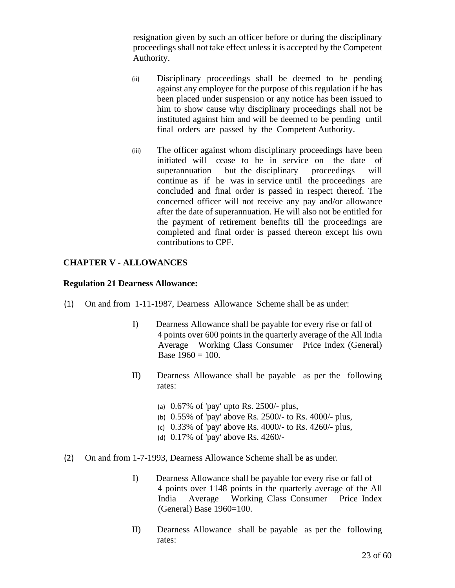resignation given by such an officer before or during the disciplinary proceedings shall not take effect unless it is accepted by the Competent Authority.

- (ii) Disciplinary proceedings shall be deemed to be pending against any employee for the purpose of this regulation if he has been placed under suspension or any notice has been issued to him to show cause why disciplinary proceedings shall not be instituted against him and will be deemed to be pending until final orders are passed by the Competent Authority.
- (iii) The officer against whom disciplinary proceedings have been initiated will cease to be in service on the date of superannuation but the disciplinary proceedings will continue as if he was in service until the proceedings are concluded and final order is passed in respect thereof. The concerned officer will not receive any pay and/or allowance after the date of superannuation. He will also not be entitled for the payment of retirement benefits till the proceedings are completed and final order is passed thereon except his own contributions to CPF.

# **CHAPTER V - ALLOWANCES**

#### **Regulation 21 Dearness Allowance:**

- (1) On and from 1-11-1987, Dearness Allowance Scheme shall be as under:
	- I) Dearness Allowance shall be payable for every rise or fall of 4 points over 600 points in the quarterly average of the All India Average Working Class Consumer Price Index (General) Base  $1960 = 100$ .
	- II) Dearness Allowance shall be payable as per the following rates:
		- (a) 0.67% of 'pay' upto Rs. 2500/- plus,
		- (b) 0.55% of 'pay' above Rs. 2500/- to Rs. 4000/- plus,
		- (c) 0.33% of 'pay' above Rs. 4000/- to Rs. 4260/- plus,
		- (d) 0.17% of 'pay' above Rs. 4260/-
- (2) On and from 1-7-1993, Dearness Allowance Scheme shall be as under.
	- I) Dearness Allowance shall be payable for every rise or fall of 4 points over 1148 points in the quarterly average of the All India Average Working Class Consumer Price Index (General) Base 1960=100.
	- II) Dearness Allowance shall be payable as per the following rates: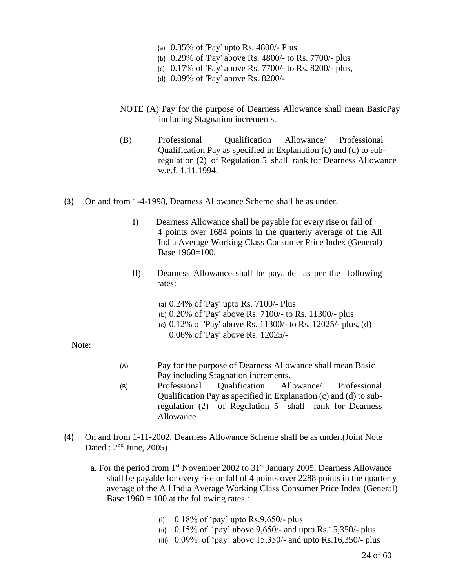- (a) 0.35% of 'Pay' upto Rs. 4800/- Plus
- (b) 0.29% of 'Pay' above Rs. 4800/- to Rs. 7700/- plus
- (c) 0.17% of 'Pay' above Rs. 7700/- to Rs. 8200/- plus,
- (d) 0.09% of 'Pay' above Rs. 8200/-
- NOTE (A) Pay for the purpose of Dearness Allowance shall mean BasicPay including Stagnation increments.
- (B) Professional Qualification Allowance/ Professional Qualification Pay as specified in Explanation (c) and (d) to subregulation (2) of Regulation 5 shall rank for Dearness Allowance w.e.f. 1.11.1994.
- (3) On and from 1-4-1998, Dearness Allowance Scheme shall be as under.
	- I) Dearness Allowance shall be payable for every rise or fall of 4 points over 1684 points in the quarterly average of the All India Average Working Class Consumer Price Index (General) Base 1960=100.
	- II) Dearness Allowance shall be payable as per the following rates:
		- (a) 0.24% of 'Pay' upto Rs. 7100/- Plus
		- (b) 0.20% of 'Pay' above Rs. 7100/- to Rs. 11300/- plus
		- (c) 0.12% of 'Pay' above Rs. 11300/- to Rs. 12025/- plus, (d) 0.06% of 'Pay' above Rs. 12025/-

Note:

- (A) Pay for the purpose of Dearness Allowance shall mean Basic Pay including Stagnation increments.
- (B) Professional Qualification Allowance/ Professional Qualification Pay as specified in Explanation (c) and (d) to subregulation (2) of Regulation 5 shall rank for Dearness Allowance
- (4) On and from 1-11-2002, Dearness Allowance Scheme shall be as under.(Joint Note Dated :  $2<sup>nd</sup>$  June, 2005)
	- a. For the period from  $1<sup>st</sup>$  November 2002 to  $31<sup>st</sup>$  January 2005, Dearness Allowance shall be payable for every rise or fall of 4 points over 2288 points in the quarterly average of the All India Average Working Class Consumer Price Index (General) Base  $1960 = 100$  at the following rates :
		- (i)  $0.18\%$  of 'pay' upto Rs.9,650/- plus
		- (ii)  $0.15\%$  of 'pay' above 9,650/- and upto Rs.15,350/- plus
		- (iii)  $0.09\%$  of 'pay' above 15,350/- and upto Rs.16,350/- plus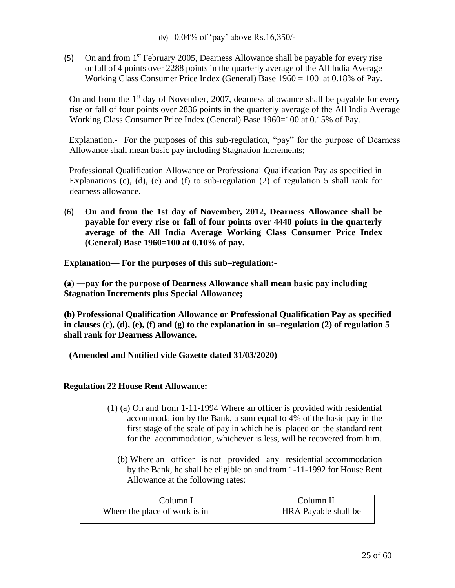(5) On and from 1st February 2005, Dearness Allowance shall be payable for every rise or fall of 4 points over 2288 points in the quarterly average of the All India Average Working Class Consumer Price Index (General) Base 1960 = 100 at 0.18% of Pay.

On and from the  $1<sup>st</sup>$  day of November, 2007, dearness allowance shall be payable for every rise or fall of four points over 2836 points in the quarterly average of the All India Average Working Class Consumer Price Index (General) Base 1960=100 at 0.15% of Pay.

Explanation.- For the purposes of this sub-regulation, "pay" for the purpose of Dearness Allowance shall mean basic pay including Stagnation Increments;

Professional Qualification Allowance or Professional Qualification Pay as specified in Explanations (c), (d), (e) and (f) to sub-regulation (2) of regulation 5 shall rank for dearness allowance.

(6) **On and from the 1st day of November, 2012, Dearness Allowance shall be payable for every rise or fall of four points over 4440 points in the quarterly average of the All India Average Working Class Consumer Price Index (General) Base 1960=100 at 0.10% of pay.**

**Explanation***—* **For the purposes of this sub–regulation:-**

**(a) ―pay for the purpose of Dearness Allowance shall mean basic pay including Stagnation Increments plus Special Allowance;**

**(b) Professional Qualification Allowance or Professional Qualification Pay as specified in clauses (c), (d), (e), (f) and (g) to the explanation in su–regulation (2) of regulation 5 shall rank for Dearness Allowance.**

**(Amended and Notified vide Gazette dated 31/03/2020)**

## **Regulation 22 House Rent Allowance:**

- (1) (a) On and from 1-11-1994 Where an officer is provided with residential accommodation by the Bank, a sum equal to 4% of the basic pay in the first stage of the scale of pay in which he is placed or the standard rent for the accommodation, whichever is less, will be recovered from him.
	- (b) Where an officer is not provided any residential accommodation by the Bank, he shall be eligible on and from 1-11-1992 for House Rent Allowance at the following rates:

| Column I                      | Column II                   |
|-------------------------------|-----------------------------|
| Where the place of work is in | <b>HRA</b> Payable shall be |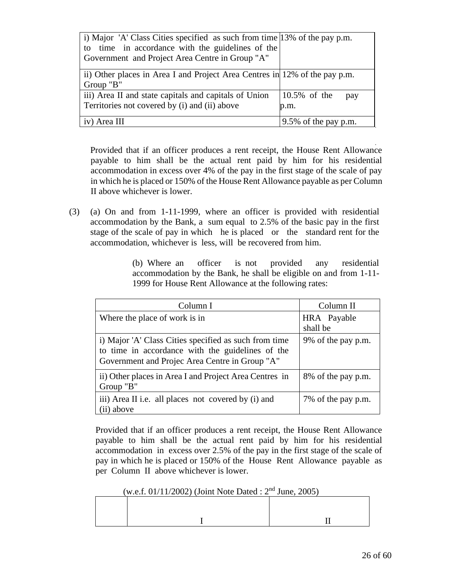| i) Major 'A' Class Cities specified as such from time 13% of the pay p.m.  |                         |  |  |
|----------------------------------------------------------------------------|-------------------------|--|--|
| to time in accordance with the guidelines of the                           |                         |  |  |
| Government and Project Area Centre in Group "A"                            |                         |  |  |
| ii) Other places in Area I and Project Area Centres in 12% of the pay p.m. |                         |  |  |
| Group "B"                                                                  |                         |  |  |
| iii) Area II and state capitals and capitals of Union                      | 10.5% of the<br>pay     |  |  |
| Territories not covered by (i) and (ii) above                              | p.m.                    |  |  |
| iv) Area III                                                               | $9.5\%$ of the pay p.m. |  |  |

Provided that if an officer produces a rent receipt, the House Rent Allowance payable to him shall be the actual rent paid by him for his residential accommodation in excess over 4% of the pay in the first stage of the scale of pay in which he is placed or 150% of the House Rent Allowance payable as per Column II above whichever is lower.

(3) (a) On and from 1-11-1999, where an officer is provided with residential accommodation by the Bank, a sum equal to 2.5% of the basic pay in the first stage of the scale of pay in which he is placed or the standard rent for the accommodation, whichever is less, will be recovered from him.

> (b) Where an officer is not provided any residential accommodation by the Bank, he shall be eligible on and from 1-11- 1999 for House Rent Allowance at the following rates:

| Column I                                                                                                                                                    | Column II               |
|-------------------------------------------------------------------------------------------------------------------------------------------------------------|-------------------------|
| Where the place of work is in                                                                                                                               | HRA Payable<br>shall be |
| i) Major 'A' Class Cities specified as such from time<br>to time in accordance with the guidelines of the<br>Government and Projec Area Centre in Group "A" | 9% of the pay p.m.      |
| ii) Other places in Area I and Project Area Centres in<br>Group "B"                                                                                         | 8% of the pay p.m.      |
| iii) Area II i.e. all places not covered by (i) and<br>(ii) above                                                                                           | 7% of the pay p.m.      |

Provided that if an officer produces a rent receipt, the House Rent Allowance payable to him shall be the actual rent paid by him for his residential accommodation in excess over 2.5% of the pay in the first stage of the scale of pay in which he is placed or 150% of the House Rent Allowance payable as per Column II above whichever is lower.

(w.e.f. 01/11/2002) (Joint Note Dated :  $2<sup>nd</sup>$  June, 2005)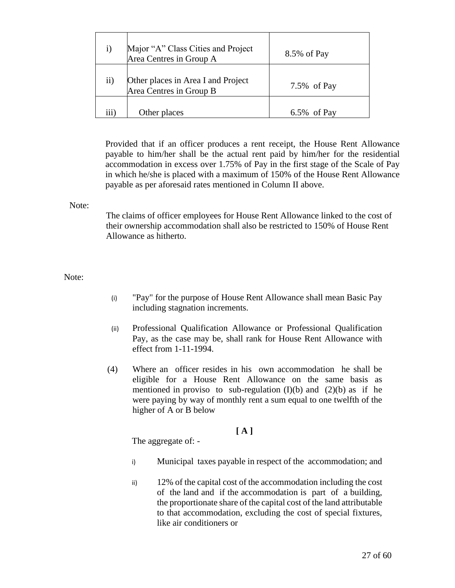| $\bf{1)}$ | Major "A" Class Cities and Project<br>Area Centres in Group A | 8.5% of Pay    |
|-----------|---------------------------------------------------------------|----------------|
| $\rm ii)$ | Other places in Area I and Project<br>Area Centres in Group B | 7.5% of Pay    |
| iii)      | Other places                                                  | $6.5\%$ of Pay |

Provided that if an officer produces a rent receipt, the House Rent Allowance payable to him/her shall be the actual rent paid by him/her for the residential accommodation in excess over 1.75% of Pay in the first stage of the Scale of Pay in which he/she is placed with a maximum of 150% of the House Rent Allowance payable as per aforesaid rates mentioned in Column II above.

#### Note:

The claims of officer employees for House Rent Allowance linked to the cost of their ownership accommodation shall also be restricted to 150% of House Rent Allowance as hitherto.

Note:

- (i) "Pay" for the purpose of House Rent Allowance shall mean Basic Pay including stagnation increments.
- (ii) Professional Qualification Allowance or Professional Qualification Pay, as the case may be, shall rank for House Rent Allowance with effect from 1-11-1994.
- (4) Where an officer resides in his own accommodation he shall be eligible for a House Rent Allowance on the same basis as mentioned in proviso to sub-regulation  $(I)(b)$  and  $(2)(b)$  as if he were paying by way of monthly rent a sum equal to one twelfth of the higher of A or B below

# **[ A ]**

The aggregate of: -

- i) Municipal taxes payable in respect of the accommodation; and
- ii) 12% of the capital cost of the accommodation including the cost of the land and if the accommodation is part of a building, the proportionate share of the capital cost of the land attributable to that accommodation, excluding the cost of special fixtures, like air conditioners or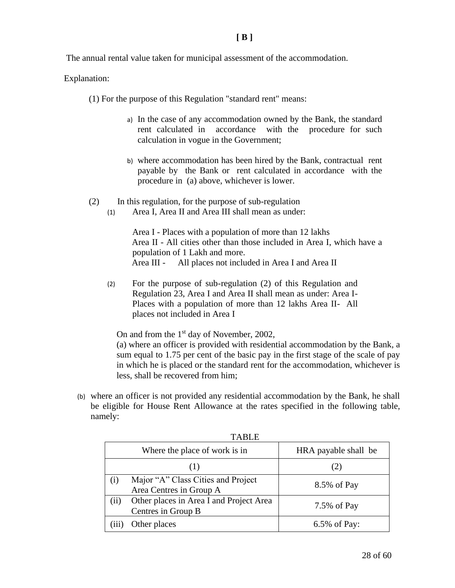The annual rental value taken for municipal assessment of the accommodation.

Explanation:

(1) For the purpose of this Regulation "standard rent" means:

- a) In the case of any accommodation owned by the Bank, the standard rent calculated in accordance with the procedure for such calculation in vogue in the Government;
- b) where accommodation has been hired by the Bank, contractual rent payable by the Bank or rent calculated in accordance with the procedure in (a) above, whichever is lower.
- (2) In this regulation, for the purpose of sub-regulation
	- (1) Area I, Area II and Area III shall mean as under:

Area I - Places with a population of more than 12 lakhs Area II - All cities other than those included in Area I, which have a population of 1 Lakh and more. Area III - All places not included in Area I and Area II

(2) For the purpose of sub-regulation (2) of this Regulation and Regulation 23, Area I and Area II shall mean as under: Area I-Places with a population of more than 12 lakhs Area II- All places not included in Area I

On and from the 1<sup>st</sup> day of November, 2002,

(a) where an officer is provided with residential accommodation by the Bank, a sum equal to 1.75 per cent of the basic pay in the first stage of the scale of pay in which he is placed or the standard rent for the accommodation, whichever is less, shall be recovered from him;

(b) where an officer is not provided any residential accommodation by the Bank, he shall be eligible for House Rent Allowance at the rates specified in the following table, namely:

|     | TABLE                                                         |                      |
|-----|---------------------------------------------------------------|----------------------|
|     | Where the place of work is in                                 | HRA payable shall be |
|     |                                                               | (2)                  |
| (i) | Major "A" Class Cities and Project<br>Area Centres in Group A | 8.5% of Pay          |
| (ii | Other places in Area I and Project Area<br>Centres in Group B | 7.5% of Pay          |
|     | Other places                                                  | 6.5% of Pay:         |

ma<sub>DI</sub><sub>D</sub>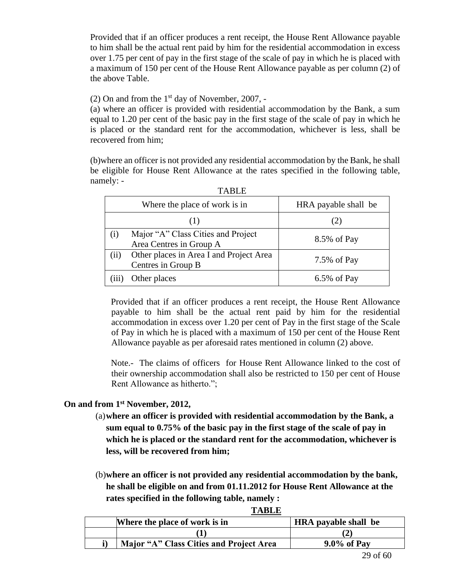Provided that if an officer produces a rent receipt, the House Rent Allowance payable to him shall be the actual rent paid by him for the residential accommodation in excess over 1.75 per cent of pay in the first stage of the scale of pay in which he is placed with a maximum of 150 per cent of the House Rent Allowance payable as per column (2) of the above Table.

(2) On and from the  $1<sup>st</sup>$  day of November, 2007, -

(a) where an officer is provided with residential accommodation by the Bank, a sum equal to 1.20 per cent of the basic pay in the first stage of the scale of pay in which he is placed or the standard rent for the accommodation, whichever is less, shall be recovered from him;

(b)where an officer is not provided any residential accommodation by the Bank, he shall be eligible for House Rent Allowance at the rates specified in the following table, namely: -

|                    | ,,,,,,,,                                                      |                      |
|--------------------|---------------------------------------------------------------|----------------------|
|                    | Where the place of work is in                                 | HRA payable shall be |
|                    | (1)                                                           | (2)                  |
| $\left( 1 \right)$ | Major "A" Class Cities and Project<br>Area Centres in Group A | 8.5% of Pay          |
| (11)               | Other places in Area I and Project Area<br>Centres in Group B | 7.5% of Pay          |
|                    | Other places                                                  | $6.5\%$ of Pay       |

TABLE

Provided that if an officer produces a rent receipt, the House Rent Allowance payable to him shall be the actual rent paid by him for the residential accommodation in excess over 1.20 per cent of Pay in the first stage of the Scale of Pay in which he is placed with a maximum of 150 per cent of the House Rent Allowance payable as per aforesaid rates mentioned in column (2) above.

Note.- The claims of officers for House Rent Allowance linked to the cost of their ownership accommodation shall also be restricted to 150 per cent of House Rent Allowance as hitherto.";

# **On and from 1st November, 2012,**

- (a)**where an officer is provided with residential accommodation by the Bank, a sum equal to 0.75% of the basic pay in the first stage of the scale of pay in which he is placed or the standard rent for the accommodation, whichever is less, will be recovered from him;**
- (b)**where an officer is not provided any residential accommodation by the bank, he shall be eligible on and from 01.11.2012 for House Rent Allowance at the rates specified in the following table, namely :**

|  | ---------                               |                             |
|--|-----------------------------------------|-----------------------------|
|  | Where the place of work is in           | <b>HRA</b> payable shall be |
|  |                                         |                             |
|  | Major "A" Class Cities and Project Area | $9.0\%$ of Pay              |

**TABLE**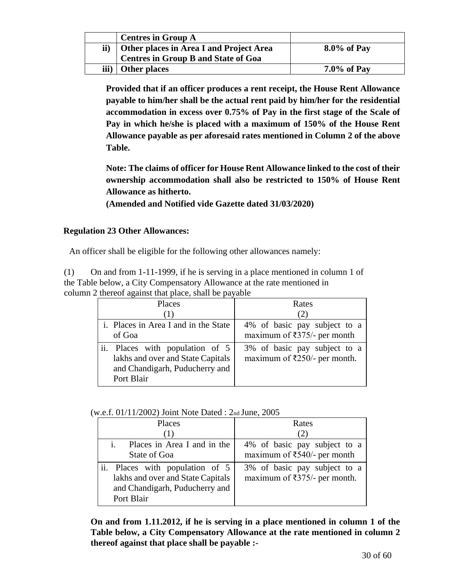|      | <b>Centres in Group A</b>                  |                |
|------|--------------------------------------------|----------------|
| ii)  | Other places in Area I and Project Area    | $8.0\%$ of Pay |
|      | <b>Centres in Group B and State of Goa</b> |                |
| iii) | Other places                               | $7.0\%$ of Pay |

**Provided that if an officer produces a rent receipt, the House Rent Allowance payable to him/her shall be the actual rent paid by him/her for the residential accommodation in excess over 0.75% of Pay in the first stage of the Scale of Pay in which he/she is placed with a maximum of 150% of the House Rent Allowance payable as per aforesaid rates mentioned in Column 2 of the above Table.**

**Note: The claims of officer for House Rent Allowance linked to the cost of their ownership accommodation shall also be restricted to 150% of House Rent Allowance as hitherto.**

**(Amended and Notified vide Gazette dated 31/03/2020)**

# **Regulation 23 Other Allowances:**

An officer shall be eligible for the following other allowances namely:

(1) On and from 1-11-1999, if he is serving in a place mentioned in column 1 of the Table below, a City Compensatory Allowance at the rate mentioned in column 2 thereof against that place, shall be payable

| Places                                                                                                               | Rates                                                                        |
|----------------------------------------------------------------------------------------------------------------------|------------------------------------------------------------------------------|
| ( 1 )                                                                                                                | (2)                                                                          |
| i. Places in Area I and in the State                                                                                 | 4% of basic pay subject to a                                                 |
| of Goa                                                                                                               | maximum of $\overline{\xi}$ 375/- per month                                  |
| ii. Places with population of 5<br>lakhs and over and State Capitals<br>and Chandigarh, Puducherry and<br>Port Blair | 3% of basic pay subject to a<br>maximum of $\overline{\xi}250/$ - per month. |

(w.e.f. 01/11/2002) Joint Note Dated : 2nd June, 2005

| Places                                                                                                               | Rates<br>(2)                                                                 |
|----------------------------------------------------------------------------------------------------------------------|------------------------------------------------------------------------------|
| Places in Area I and in the<br>State of Goa                                                                          | 4% of basic pay subject to a<br>maximum of $\overline{\xi}$ 540/- per month  |
| ii. Places with population of 5<br>lakhs and over and State Capitals<br>and Chandigarh, Puducherry and<br>Port Blair | 3% of basic pay subject to a<br>maximum of $\overline{\xi}$ 375/- per month. |

**On and from 1.11.2012, if he is serving in a place mentioned in column 1 of the Table below, a City Compensatory Allowance at the rate mentioned in column 2 thereof against that place shall be payable :-**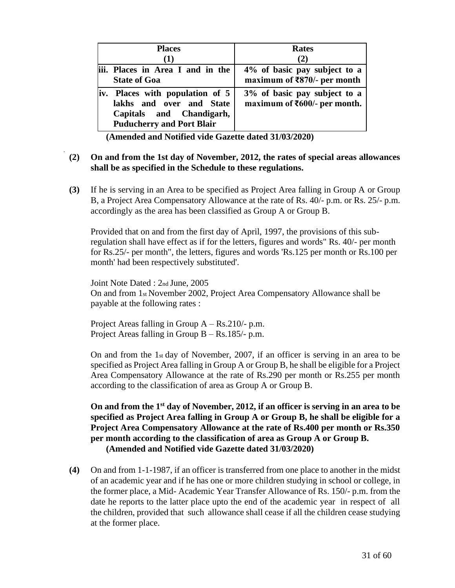|     | <b>Places</b><br>(1)                                                                                                    | <b>Rates</b><br>(2)                                                               |
|-----|-------------------------------------------------------------------------------------------------------------------------|-----------------------------------------------------------------------------------|
|     | iii. Places in Area I and in the<br><b>State of Goa</b>                                                                 | 4% of basic pay subject to a<br>maximum of ₹870/- per month                       |
| iv. | Places with population of 5<br>lakhs and over and State<br>Capitals and Chandigarh,<br><b>Puducherry and Port Blair</b> | 3% of basic pay subject to a<br>maximum of $\text{\textsterling}600/-$ per month. |

**(Amended and Notified vide Gazette dated 31/03/2020)**

# **(2) On and from the 1st day of November, 2012, the rates of special areas allowances shall be as specified in the Schedule to these regulations.**

**(3)** If he is serving in an Area to be specified as Project Area falling in Group A or Group B, a Project Area Compensatory Allowance at the rate of Rs. 40/- p.m. or Rs. 25/- p.m. accordingly as the area has been classified as Group A or Group B.

Provided that on and from the first day of April, 1997, the provisions of this subregulation shall have effect as if for the letters, figures and words" Rs. 40/- per month for Rs.25/- per month", the letters, figures and words 'Rs.125 per month or Rs.100 per month' had been respectively substituted'.

Joint Note Dated : 2nd June, 2005 On and from 1st November 2002, Project Area Compensatory Allowance shall be payable at the following rates :

Project Areas falling in Group  $A - Rs.210/- p.m.$ Project Areas falling in Group B – Rs.185/- p.m.

On and from the 1st day of November, 2007, if an officer is serving in an area to be specified as Project Area falling in Group A or Group B, he shall be eligible for a Project Area Compensatory Allowance at the rate of Rs.290 per month or Rs.255 per month according to the classification of area as Group A or Group B.

**On and from the 1st day of November, 2012, if an officer is serving in an area to be specified as Project Area falling in Group A or Group B, he shall be eligible for a Project Area Compensatory Allowance at the rate of Rs.400 per month or Rs.350 per month according to the classification of area as Group A or Group B. (Amended and Notified vide Gazette dated 31/03/2020)**

**(4)** On and from 1-1-1987, if an officer is transferred from one place to another in the midst of an academic year and if he has one or more children studying in school or college, in the former place, a Mid- Academic Year Transfer Allowance of Rs. 150/- p.m. from the date he reports to the latter place upto the end of the academic year in respect of all the children, provided that such allowance shall cease if all the children cease studying at the former place.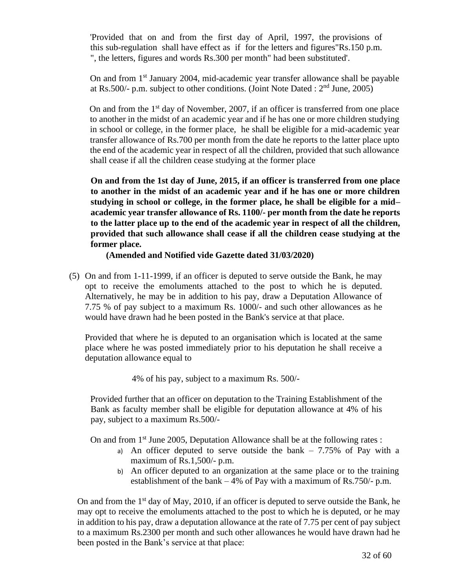'Provided that on and from the first day of April, 1997, the provisions of this sub-regulation shall have effect as if for the letters and figures"Rs.150 p.m. ", the letters, figures and words Rs.300 per month" had been substituted'.

On and from 1st January 2004, mid-academic year transfer allowance shall be payable at Rs.500/- p.m. subject to other conditions. (Joint Note Dated :  $2<sup>nd</sup>$  June, 2005)

On and from the  $1<sup>st</sup>$  day of November, 2007, if an officer is transferred from one place to another in the midst of an academic year and if he has one or more children studying in school or college, in the former place, he shall be eligible for a mid-academic year transfer allowance of Rs.700 per month from the date he reports to the latter place upto the end of the academic year in respect of all the children, provided that such allowance shall cease if all the children cease studying at the former place

**On and from the 1st day of June, 2015, if an officer is transferred from one place to another in the midst of an academic year and if he has one or more children studying in school or college, in the former place, he shall be eligible for a mid– academic year transfer allowance of Rs. 1100/- per month from the date he reports to the latter place up to the end of the academic year in respect of all the children, provided that such allowance shall cease if all the children cease studying at the former place.**

**(Amended and Notified vide Gazette dated 31/03/2020)**

(5) On and from 1-11-1999, if an officer is deputed to serve outside the Bank, he may opt to receive the emoluments attached to the post to which he is deputed. Alternatively, he may be in addition to his pay, draw a Deputation Allowance of 7.75 % of pay subject to a maximum Rs. 1000/- and such other allowances as he would have drawn had he been posted in the Bank's service at that place.

Provided that where he is deputed to an organisation which is located at the same place where he was posted immediately prior to his deputation he shall receive a deputation allowance equal to

4% of his pay, subject to a maximum Rs. 500/-

Provided further that an officer on deputation to the Training Establishment of the Bank as faculty member shall be eligible for deputation allowance at 4% of his pay, subject to a maximum Rs.500/-

On and from  $1<sup>st</sup>$  June 2005, Deputation Allowance shall be at the following rates :

- a) An officer deputed to serve outside the bank  $-7.75\%$  of Pay with a maximum of Rs.1,500/- p.m.
- b) An officer deputed to an organization at the same place or to the training establishment of the bank – 4% of Pay with a maximum of Rs.750/- p.m.

On and from the  $1<sup>st</sup>$  day of May, 2010, if an officer is deputed to serve outside the Bank, he may opt to receive the emoluments attached to the post to which he is deputed, or he may in addition to his pay, draw a deputation allowance at the rate of 7.75 per cent of pay subject to a maximum Rs.2300 per month and such other allowances he would have drawn had he been posted in the Bank's service at that place: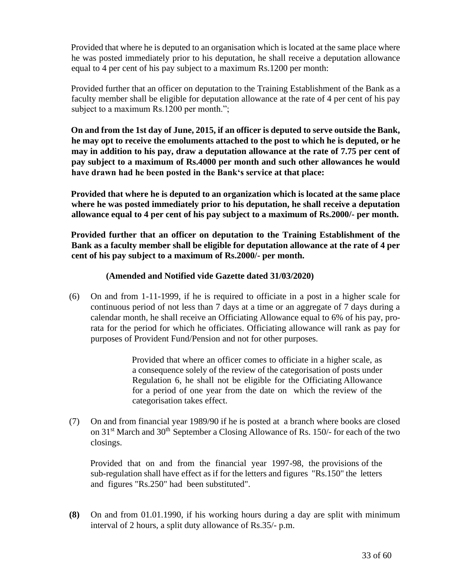Provided that where he is deputed to an organisation which is located at the same place where he was posted immediately prior to his deputation, he shall receive a deputation allowance equal to 4 per cent of his pay subject to a maximum Rs.1200 per month:

Provided further that an officer on deputation to the Training Establishment of the Bank as a faculty member shall be eligible for deputation allowance at the rate of 4 per cent of his pay subject to a maximum Rs.1200 per month.";

**On and from the 1st day of June, 2015, if an officer is deputed to serve outside the Bank, he may opt to receive the emoluments attached to the post to which he is deputed, or he may in addition to his pay, draw a deputation allowance at the rate of 7.75 per cent of pay subject to a maximum of Rs.4000 per month and such other allowances he would have drawn had he been posted in the Bank's service at that place:**

**Provided that where he is deputed to an organization which is located at the same place where he was posted immediately prior to his deputation, he shall receive a deputation allowance equal to 4 per cent of his pay subject to a maximum of Rs.2000/- per month.**

**Provided further that an officer on deputation to the Training Establishment of the Bank as a faculty member shall be eligible for deputation allowance at the rate of 4 per cent of his pay subject to a maximum of Rs.2000/- per month.**

# **(Amended and Notified vide Gazette dated 31/03/2020)**

(6) On and from 1-11-1999, if he is required to officiate in a post in a higher scale for continuous period of not less than 7 days at a time or an aggregate of 7 days during a calendar month, he shall receive an Officiating Allowance equal to 6% of his pay, prorata for the period for which he officiates. Officiating allowance will rank as pay for purposes of Provident Fund/Pension and not for other purposes.

> Provided that where an officer comes to officiate in a higher scale, as a consequence solely of the review of the categorisation of posts under Regulation 6, he shall not be eligible for the Officiating Allowance for a period of one year from the date on which the review of the categorisation takes effect.

(7) On and from financial year 1989/90 if he is posted at a branch where books are closed on 31<sup>st</sup> March and 30<sup>th</sup> September a Closing Allowance of Rs. 150/- for each of the two closings.

Provided that on and from the financial year 1997-98, the provisions of the sub-regulation shall have effect as if for the letters and figures "Rs.150" the letters and figures "Rs.250" had been substituted".

**(8)** On and from 01.01.1990, if his working hours during a day are split with minimum interval of 2 hours, a split duty allowance of Rs.35/- p.m.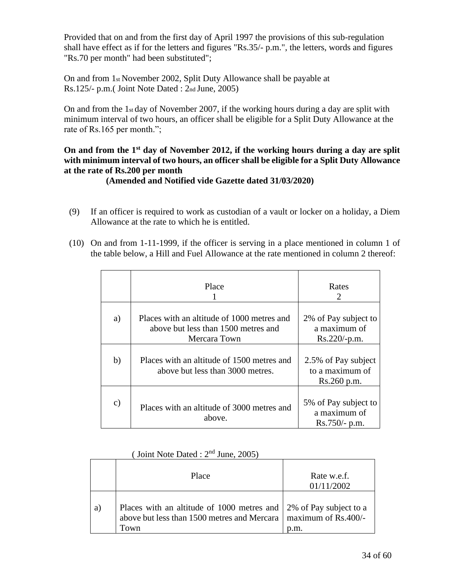Provided that on and from the first day of April 1997 the provisions of this sub-regulation shall have effect as if for the letters and figures "Rs.35/- p.m.", the letters, words and figures "Rs.70 per month" had been substituted";

On and from 1st November 2002, Split Duty Allowance shall be payable at Rs.125/- p.m.( Joint Note Dated : 2nd June, 2005)

On and from the 1st day of November 2007, if the working hours during a day are split with minimum interval of two hours, an officer shall be eligible for a Split Duty Allowance at the rate of Rs.165 per month.";

# **On and from the 1st day of November 2012, if the working hours during a day are split with minimum interval of two hours, an officer shall be eligible for a Split Duty Allowance at the rate of Rs.200 per month**

# **(Amended and Notified vide Gazette dated 31/03/2020)**

- (9) If an officer is required to work as custodian of a vault or locker on a holiday, a Diem Allowance at the rate to which he is entitled.
- (10) On and from 1-11-1999, if the officer is serving in a place mentioned in column 1 of the table below, a Hill and Fuel Allowance at the rate mentioned in column 2 thereof:

|               | Place                                                                                             | Rates<br>2                                              |
|---------------|---------------------------------------------------------------------------------------------------|---------------------------------------------------------|
| a)            | Places with an altitude of 1000 metres and<br>above but less than 1500 metres and<br>Mercara Town | 2% of Pay subject to<br>a maximum of<br>$Rs.220/-p.m.$  |
| b)            | Places with an altitude of 1500 metres and<br>above but less than 3000 metres.                    | 2.5% of Pay subject<br>to a maximum of<br>Rs.260 p.m.   |
| $\mathbf{c})$ | Places with an altitude of 3000 metres and<br>above.                                              | 5% of Pay subject to<br>a maximum of<br>$Rs.750/- p.m.$ |

|    | Place                                                                                                                                          | Rate w.e.f.<br>01/11/2002 |
|----|------------------------------------------------------------------------------------------------------------------------------------------------|---------------------------|
| a) | Places with an altitude of 1000 metres and 2% of Pay subject to a<br>above but less than 1500 metres and Mercara   maximum of Rs.400/-<br>Town | p.m.                      |

|  |  |  | (Joint Note Dated : $2nd$ June, 2005) |  |  |  |  |  |
|--|--|--|---------------------------------------|--|--|--|--|--|
|--|--|--|---------------------------------------|--|--|--|--|--|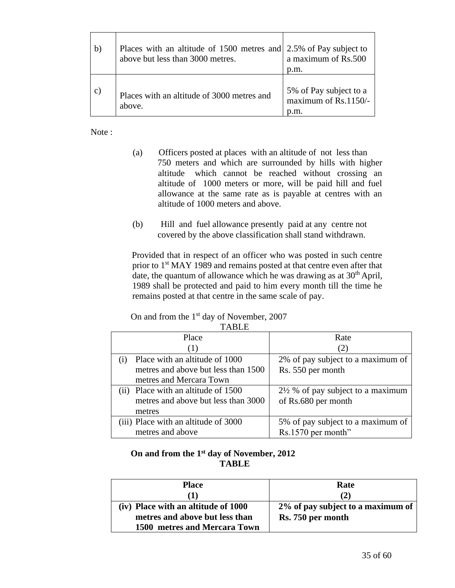| $\mathbf{b}$ | Places with an altitude of 1500 metres and 2.5% of Pay subject to<br>above but less than 3000 metres. | a maximum of Rs.500<br>p.m.                    |
|--------------|-------------------------------------------------------------------------------------------------------|------------------------------------------------|
| $\mathbf{C}$ | Places with an altitude of 3000 metres and<br>above.                                                  | 5% of Pay subject to a<br>maximum of Rs.1150/- |

Note:

- (a) Officers posted at places with an altitude of not less than 750 meters and which are surrounded by hills with higher altitude which cannot be reached without crossing an altitude of 1000 meters or more, will be paid hill and fuel allowance at the same rate as is payable at centres with an altitude of 1000 meters and above.
- (b) Hill and fuel allowance presently paid at any centre not covered by the above classification shall stand withdrawn.

Provided that in respect of an officer who was posted in such centre prior to 1<sup>st</sup> MAY 1989 and remains posted at that centre even after that date, the quantum of allowance which he was drawing as at  $30<sup>th</sup>$  April, 1989 shall be protected and paid to him every month till the time he remains posted at that centre in the same scale of pay.

On and from the  $1<sup>st</sup>$  day of November, 2007 TABLE

| Place                                                | Rate                                         |
|------------------------------------------------------|----------------------------------------------|
| (1)                                                  |                                              |
| Place with an altitude of 1000<br>$\left( 1 \right)$ | 2% of pay subject to a maximum of            |
| metres and above but less than 1500                  | Rs. 550 per month                            |
| metres and Mercara Town                              |                                              |
| (ii) Place with an altitude of 1500                  | $2\frac{1}{2}$ % of pay subject to a maximum |
| metres and above but less than 3000                  | of Rs.680 per month                          |
| metres                                               |                                              |
| (iii) Place with an altitude of 3000                 | 5% of pay subject to a maximum of            |
| metres and above                                     | Rs.1570 per month"                           |

# **On and from the 1 st day of November, 2012 TABLE**

| <b>Place</b>                        | Rate                              |
|-------------------------------------|-----------------------------------|
| D                                   | (2)                               |
| (iv) Place with an altitude of 1000 | 2% of pay subject to a maximum of |
| metres and above but less than      | Rs. 750 per month                 |
| 1500 metres and Mercara Town        |                                   |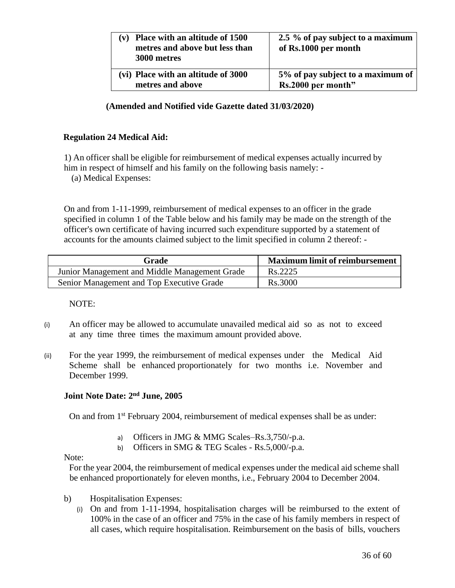| Place with an altitude of 1500<br>metres and above but less than<br>3000 metres | 2.5 % of pay subject to a maximum<br>of Rs.1000 per month |
|---------------------------------------------------------------------------------|-----------------------------------------------------------|
| (vi) Place with an altitude of 3000                                             | 5% of pay subject to a maximum of                         |
| metres and above                                                                | Rs.2000 per month"                                        |

**(Amended and Notified vide Gazette dated 31/03/2020)**

# **Regulation 24 Medical Aid:**

1) An officer shall be eligible for reimbursement of medical expenses actually incurred by him in respect of himself and his family on the following basis namely: -

(a) Medical Expenses:

On and from 1-11-1999, reimbursement of medical expenses to an officer in the grade specified in column 1 of the Table below and his family may be made on the strength of the officer's own certificate of having incurred such expenditure supported by a statement of accounts for the amounts claimed subject to the limit specified in column 2 thereof: -

| Grade                                         | <b>Maximum limit of reimbursement</b> |
|-----------------------------------------------|---------------------------------------|
| Junior Management and Middle Management Grade | Rs.2225                               |
| Senior Management and Top Executive Grade     | Rs.3000                               |

NOTE:

- (i) An officer may be allowed to accumulate unavailed medical aid so as not to exceed at any time three times the maximum amount provided above.
- (ii) For the year 1999, the reimbursement of medical expenses under the Medical Aid Scheme shall be enhanced proportionately for two months i.e. November and December 1999.

## **Joint Note Date: 2nd June, 2005**

On and from 1<sup>st</sup> February 2004, reimbursement of medical expenses shall be as under:

- a) Officers in JMG & MMG Scales–Rs.3,750/-p.a.
- b) Officers in SMG & TEG Scales Rs.5,000/-p.a.

# Note:

For the year 2004, the reimbursement of medical expenses under the medical aid scheme shall be enhanced proportionately for eleven months, i.e., February 2004 to December 2004.

- b) Hospitalisation Expenses:
	- (i) On and from 1-11-1994, hospitalisation charges will be reimbursed to the extent of 100% in the case of an officer and 75% in the case of his family members in respect of all cases, which require hospitalisation. Reimbursement on the basis of bills, vouchers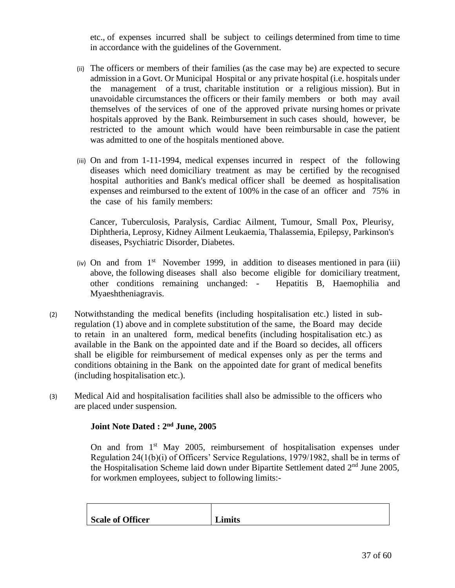etc., of expenses incurred shall be subject to ceilings determined from time to time in accordance with the guidelines of the Government.

- (ii) The officers or members of their families (as the case may be) are expected to secure admission in a Govt. Or Municipal Hospital or any private hospital (i.e. hospitals under the management of a trust, charitable institution or a religious mission). But in unavoidable circumstances the officers or their family members or both may avail themselves of the services of one of the approved private nursing homes or private hospitals approved by the Bank. Reimbursement in such cases should, however, be restricted to the amount which would have been reimbursable in case the patient was admitted to one of the hospitals mentioned above.
- (iii) On and from 1-11-1994, medical expenses incurred in respect of the following diseases which need domiciliary treatment as may be certified by the recognised hospital authorities and Bank's medical officer shall be deemed as hospitalisation expenses and reimbursed to the extent of 100% in the case of an officer and 75% in the case of his family members:

Cancer, Tuberculosis, Paralysis, Cardiac Ailment, Tumour, Small Pox, Pleurisy, Diphtheria, Leprosy, Kidney Ailment Leukaemia, Thalassemia, Epilepsy, Parkinson's diseases, Psychiatric Disorder, Diabetes.

- (iv) On and from  $1<sup>st</sup>$  November 1999, in addition to diseases mentioned in para (iii) above, the following diseases shall also become eligible for domiciliary treatment, other conditions remaining unchanged: - Hepatitis B, Haemophilia and Myaeshtheniagravis.
- (2) Notwithstanding the medical benefits (including hospitalisation etc.) listed in subregulation (1) above and in complete substitution of the same, the Board may decide to retain in an unaltered form, medical benefits (including hospitalisation etc.) as available in the Bank on the appointed date and if the Board so decides, all officers shall be eligible for reimbursement of medical expenses only as per the terms and conditions obtaining in the Bank on the appointed date for grant of medical benefits (including hospitalisation etc.).
- (3) Medical Aid and hospitalisation facilities shall also be admissible to the officers who are placed under suspension.

# **Joint Note Dated : 2nd June, 2005**

On and from  $1<sup>st</sup>$  May 2005, reimbursement of hospitalisation expenses under Regulation 24(1(b)(i) of Officers' Service Regulations, 1979/1982, shall be in terms of the Hospitalisation Scheme laid down under Bipartite Settlement dated  $2<sup>nd</sup>$  June 2005, for workmen employees, subject to following limits:-

| Scale of Officer | Limits |
|------------------|--------|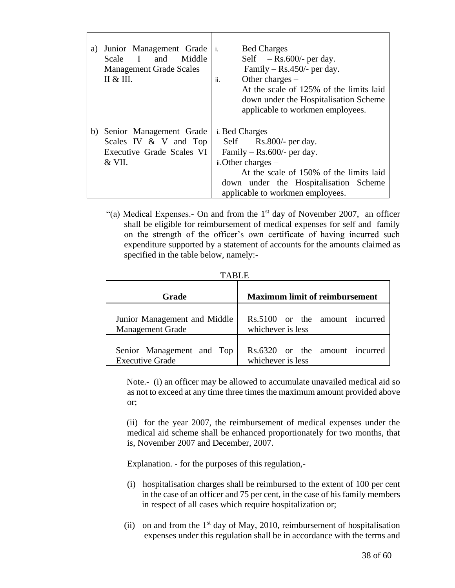| a) | Junior Management Grade<br>and<br>Middle<br>Scale<br>$\mathbf{I}$<br><b>Management Grade Scales</b><br>П & Ш. | <b>Bed Charges</b><br>i.<br>Self $-$ Rs.600/- per day.<br>Family $-$ Rs.450/- per day.<br>Other charges $-$<br>ii.<br>At the scale of 125% of the limits laid<br>down under the Hospitalisation Scheme<br>applicable to workmen employees. |
|----|---------------------------------------------------------------------------------------------------------------|--------------------------------------------------------------------------------------------------------------------------------------------------------------------------------------------------------------------------------------------|
|    | b) Senior Management Grade<br>Scales IV & V and Top<br>Executive Grade Scales VI<br>$&$ VII.                  | i. Bed Charges<br>Self $-$ Rs.800/- per day.<br>Family $-$ Rs.600/- per day.<br>$i$ . Other charges $-$<br>At the scale of 150% of the limits laid<br>down under the Hospitalisation Scheme<br>applicable to workmen employees.            |

"(a) Medical Expenses.- On and from the  $1<sup>st</sup>$  day of November 2007, an officer shall be eligible for reimbursement of medical expenses for self and family on the strength of the officer's own certificate of having incurred such expenditure supported by a statement of accounts for the amounts claimed as specified in the table below, namely:-

|--|

| <b>Grade</b>                 | <b>Maximum limit of reimbursement</b> |
|------------------------------|---------------------------------------|
| Junior Management and Middle | Rs.5100 or the amount incurred        |
| <b>Management Grade</b>      | whichever is less                     |
| Senior Management and Top    | Rs.6320 or the amount incurred        |
| <b>Executive Grade</b>       | whichever is less                     |

Note.- (i) an officer may be allowed to accumulate unavailed medical aid so as not to exceed at any time three times the maximum amount provided above or;

(ii) for the year 2007, the reimbursement of medical expenses under the medical aid scheme shall be enhanced proportionately for two months, that is, November 2007 and December, 2007.

Explanation. - for the purposes of this regulation,-

- (i) hospitalisation charges shall be reimbursed to the extent of 100 per cent in the case of an officer and 75 per cent, in the case of his family members in respect of all cases which require hospitalization or;
- (ii) on and from the  $1<sup>st</sup>$  day of May, 2010, reimbursement of hospitalisation expenses under this regulation shall be in accordance with the terms and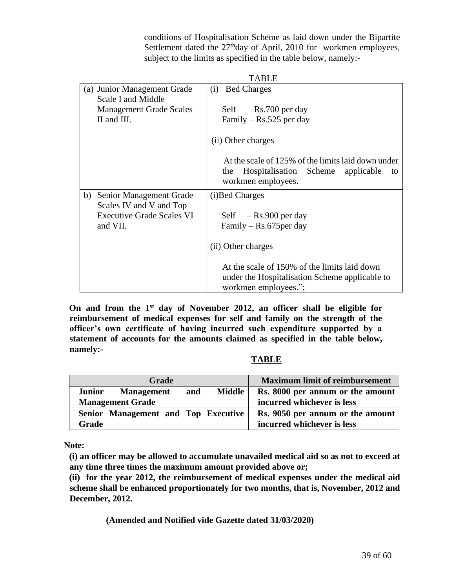conditions of Hospitalisation Scheme as laid down under the Bipartite Settlement dated the 27<sup>th</sup>day of April, 2010 for workmen employees, subject to the limits as specified in the table below, namely:-

|                                  | <b>TABLE</b>                                                                                                               |
|----------------------------------|----------------------------------------------------------------------------------------------------------------------------|
| (a) Junior Management Grade      | <b>Bed Charges</b><br>(i)                                                                                                  |
| Scale I and Middle               |                                                                                                                            |
| <b>Management Grade Scales</b>   | Self $-$ Rs.700 per day                                                                                                    |
| II and III.                      | Family – $Rs.525$ per day                                                                                                  |
|                                  | (ii) Other charges                                                                                                         |
|                                  | At the scale of 125% of the limits laid down under<br>Hospitalisation Scheme applicable<br>the<br>to<br>workmen employees. |
| Senior Management Grade<br>b)    | (i) Bed Charges                                                                                                            |
| Scales IV and V and Top          |                                                                                                                            |
| <b>Executive Grade Scales VI</b> | Self $-$ Rs.900 per day                                                                                                    |
| and VII.                         | Family $-$ Rs.675 per day                                                                                                  |
|                                  | (ii) Other charges                                                                                                         |
|                                  | At the scale of 150% of the limits laid down                                                                               |
|                                  | under the Hospitalisation Scheme applicable to                                                                             |
|                                  | workmen employees.";                                                                                                       |

**On and from the 1st day of November 2012, an officer shall be eligible for reimbursement of medical expenses for self and family on the strength of the officer's own certificate of having incurred such expenditure supported by a statement of accounts for the amounts claimed as specified in the table below, namely:-**

# **TABLE**

|               | <b>Grade</b>                        |     |               | <b>Maximum limit of reimbursement</b> |
|---------------|-------------------------------------|-----|---------------|---------------------------------------|
| <b>Junior</b> | <b>Management</b>                   | and | <b>Middle</b> | Rs. 8000 per annum or the amount      |
|               | <b>Management Grade</b>             |     |               | incurred whichever is less            |
|               | Senior Management and Top Executive |     |               | Rs. 9050 per annum or the amount      |
| Grade         |                                     |     |               | incurred whichever is less            |

**Note:**

**(i) an officer may be allowed to accumulate unavailed medical aid so as not to exceed at any time three times the maximum amount provided above or;**

**(ii) for the year 2012, the reimbursement of medical expenses under the medical aid scheme shall be enhanced proportionately for two months, that is, November, 2012 and December, 2012.**

**(Amended and Notified vide Gazette dated 31/03/2020)**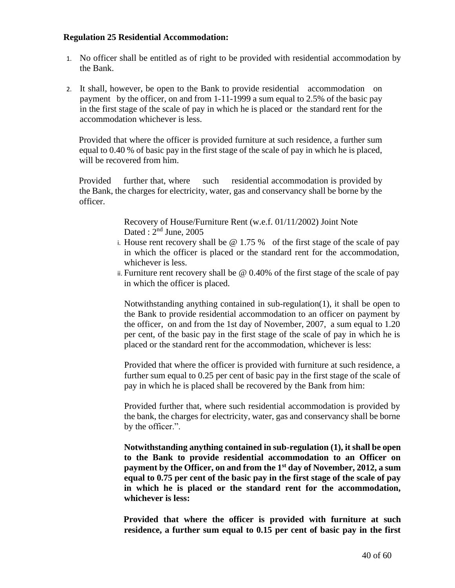## **Regulation 25 Residential Accommodation:**

- 1. No officer shall be entitled as of right to be provided with residential accommodation by the Bank.
- 2. It shall, however, be open to the Bank to provide residential accommodation on payment by the officer, on and from 1-11-1999 a sum equal to 2.5% of the basic pay in the first stage of the scale of pay in which he is placed or the standard rent for the accommodation whichever is less.

Provided that where the officer is provided furniture at such residence, a further sum equal to 0.40 % of basic pay in the first stage of the scale of pay in which he is placed, will be recovered from him.

Provided further that, where such residential accommodation is provided by the Bank, the charges for electricity, water, gas and conservancy shall be borne by the officer.

> Recovery of House/Furniture Rent (w.e.f. 01/11/2002) Joint Note Dated :  $2<sup>nd</sup>$  June, 2005

- i. House rent recovery shall be  $\omega$  1.75 % of the first stage of the scale of pay in which the officer is placed or the standard rent for the accommodation, whichever is less.
- ii. Furniture rent recovery shall be @ 0.40% of the first stage of the scale of pay in which the officer is placed.

Notwithstanding anything contained in sub-regulation(1), it shall be open to the Bank to provide residential accommodation to an officer on payment by the officer, on and from the 1st day of November, 2007, a sum equal to 1.20 per cent, of the basic pay in the first stage of the scale of pay in which he is placed or the standard rent for the accommodation, whichever is less:

Provided that where the officer is provided with furniture at such residence, a further sum equal to 0.25 per cent of basic pay in the first stage of the scale of pay in which he is placed shall be recovered by the Bank from him:

Provided further that, where such residential accommodation is provided by the bank, the charges for electricity, water, gas and conservancy shall be borne by the officer.".

**Notwithstanding anything contained in sub-regulation (1), it shall be open to the Bank to provide residential accommodation to an Officer on payment by the Officer, on and from the 1st day of November, 2012, a sum equal to 0.75 per cent of the basic pay in the first stage of the scale of pay in which he is placed or the standard rent for the accommodation, whichever is less:**

**Provided that where the officer is provided with furniture at such residence, a further sum equal to 0.15 per cent of basic pay in the first**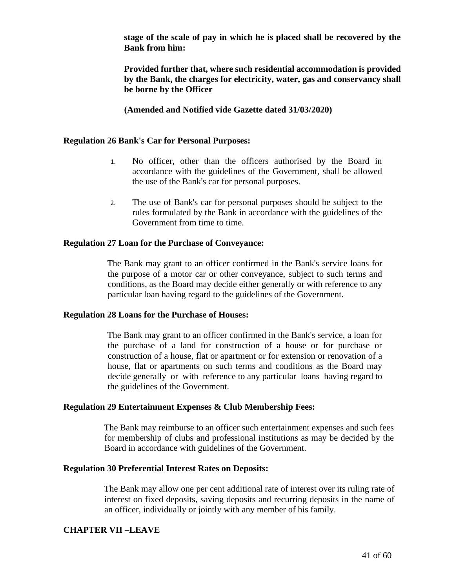**stage of the scale of pay in which he is placed shall be recovered by the Bank from him:**

**Provided further that, where such residential accommodation is provided by the Bank, the charges for electricity, water, gas and conservancy shall be borne by the Officer**

**(Amended and Notified vide Gazette dated 31/03/2020)**

#### **Regulation 26 Bank's Car for Personal Purposes:**

- 1. No officer, other than the officers authorised by the Board in accordance with the guidelines of the Government, shall be allowed the use of the Bank's car for personal purposes.
- 2. The use of Bank's car for personal purposes should be subject to the rules formulated by the Bank in accordance with the guidelines of the Government from time to time.

#### **Regulation 27 Loan for the Purchase of Conveyance:**

The Bank may grant to an officer confirmed in the Bank's service loans for the purpose of a motor car or other conveyance, subject to such terms and conditions, as the Board may decide either generally or with reference to any particular loan having regard to the guidelines of the Government.

#### **Regulation 28 Loans for the Purchase of Houses:**

The Bank may grant to an officer confirmed in the Bank's service, a loan for the purchase of a land for construction of a house or for purchase or construction of a house, flat or apartment or for extension or renovation of a house, flat or apartments on such terms and conditions as the Board may decide generally or with reference to any particular loans having regard to the guidelines of the Government.

#### **Regulation 29 Entertainment Expenses & Club Membership Fees:**

The Bank may reimburse to an officer such entertainment expenses and such fees for membership of clubs and professional institutions as may be decided by the Board in accordance with guidelines of the Government.

#### **Regulation 30 Preferential Interest Rates on Deposits:**

The Bank may allow one per cent additional rate of interest over its ruling rate of interest on fixed deposits, saving deposits and recurring deposits in the name of an officer, individually or jointly with any member of his family.

## **CHAPTER VII –LEAVE**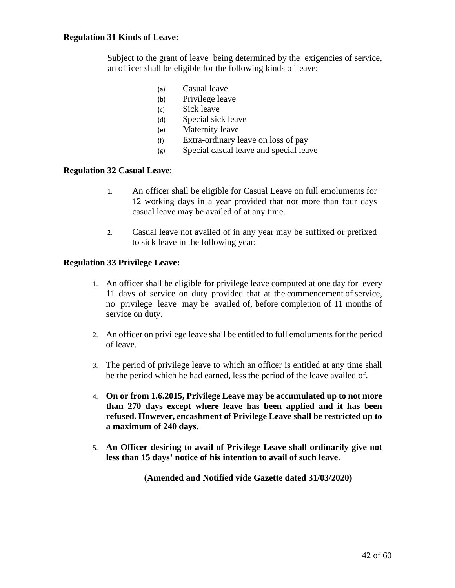### **Regulation 31 Kinds of Leave:**

Subject to the grant of leave being determined by the exigencies of service, an officer shall be eligible for the following kinds of leave:

- (a) Casual leave
- (b) Privilege leave
- (c) Sick leave
- (d) Special sick leave
- (e) Maternity leave
- (f) Extra-ordinary leave on loss of pay
- (g) Special casual leave and special leave

#### **Regulation 32 Casual Leave**:

- 1. An officer shall be eligible for Casual Leave on full emoluments for 12 working days in a year provided that not more than four days casual leave may be availed of at any time.
- 2. Casual leave not availed of in any year may be suffixed or prefixed to sick leave in the following year:

#### **Regulation 33 Privilege Leave:**

- 1. An officer shall be eligible for privilege leave computed at one day for every 11 days of service on duty provided that at the commencement of service, no privilege leave may be availed of, before completion of 11 months of service on duty.
- 2. An officer on privilege leave shall be entitled to full emoluments for the period of leave.
- 3. The period of privilege leave to which an officer is entitled at any time shall be the period which he had earned, less the period of the leave availed of.
- 4. **On or from 1.6.2015, Privilege Leave may be accumulated up to not more than 270 days except where leave has been applied and it has been refused. However, encashment of Privilege Leave shall be restricted up to a maximum of 240 days**.
- 5. **An Officer desiring to avail of Privilege Leave shall ordinarily give not less than 15 days' notice of his intention to avail of such leave**.

**(Amended and Notified vide Gazette dated 31/03/2020)**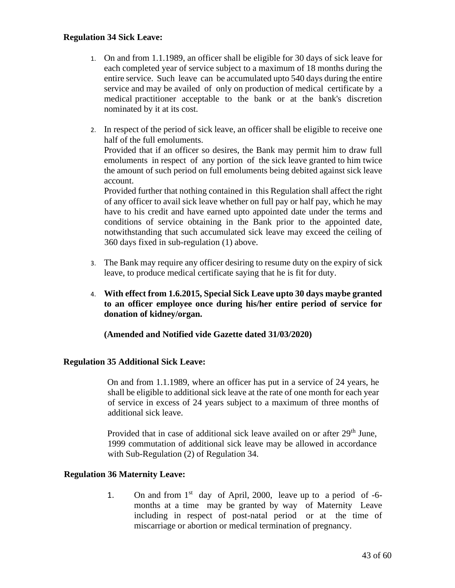## **Regulation 34 Sick Leave:**

- 1. On and from 1.1.1989, an officer shall be eligible for 30 days of sick leave for each completed year of service subject to a maximum of 18 months during the entire service. Such leave can be accumulated upto 540 days during the entire service and may be availed of only on production of medical certificate by a medical practitioner acceptable to the bank or at the bank's discretion nominated by it at its cost.
- 2. In respect of the period of sick leave, an officer shall be eligible to receive one half of the full emoluments.

Provided that if an officer so desires, the Bank may permit him to draw full emoluments in respect of any portion of the sick leave granted to him twice the amount of such period on full emoluments being debited against sick leave account.

Provided further that nothing contained in this Regulation shall affect the right of any officer to avail sick leave whether on full pay or half pay, which he may have to his credit and have earned upto appointed date under the terms and conditions of service obtaining in the Bank prior to the appointed date, notwithstanding that such accumulated sick leave may exceed the ceiling of 360 days fixed in sub-regulation (1) above.

- 3. The Bank may require any officer desiring to resume duty on the expiry of sick leave, to produce medical certificate saying that he is fit for duty.
- 4. **With effect from 1.6.2015, Special Sick Leave upto 30 days maybe granted to an officer employee once during his/her entire period of service for donation of kidney/organ.**

**(Amended and Notified vide Gazette dated 31/03/2020)**

## **Regulation 35 Additional Sick Leave:**

On and from 1.1.1989, where an officer has put in a service of 24 years, he shall be eligible to additional sick leave at the rate of one month for each year of service in excess of 24 years subject to a maximum of three months of additional sick leave.

Provided that in case of additional sick leave availed on or after  $29<sup>th</sup>$  June, 1999 commutation of additional sick leave may be allowed in accordance with Sub-Regulation (2) of Regulation 34.

## **Regulation 36 Maternity Leave:**

1. On and from  $1<sup>st</sup>$  day of April, 2000, leave up to a period of -6months at a time may be granted by way of Maternity Leave including in respect of post-natal period or at the time of miscarriage or abortion or medical termination of pregnancy.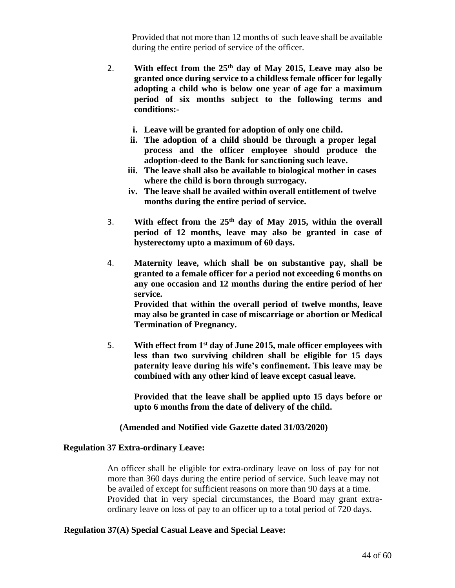Provided that not more than 12 months of such leave shall be available during the entire period of service of the officer.

- 2. **With effect from the 25th day of May 2015, Leave may also be granted once during service to a childless female officer for legally adopting a child who is below one year of age for a maximum period of six months subject to the following terms and conditions:**
	- **i. Leave will be granted for adoption of only one child.**
	- **ii. The adoption of a child should be through a proper legal process and the officer employee should produce the adoption-deed to the Bank for sanctioning such leave.**
	- **iii. The leave shall also be available to biological mother in cases where the child is born through surrogacy.**
	- **iv. The leave shall be availed within overall entitlement of twelve months during the entire period of service.**
- 3. **With effect from the 25th day of May 2015, within the overall period of 12 months, leave may also be granted in case of hysterectomy upto a maximum of 60 days.**
- 4. **Maternity leave, which shall be on substantive pay, shall be granted to a female officer for a period not exceeding 6 months on any one occasion and 12 months during the entire period of her service.**

**Provided that within the overall period of twelve months, leave may also be granted in case of miscarriage or abortion or Medical Termination of Pregnancy.**

5. **With effect from 1st day of June 2015, male officer employees with less than two surviving children shall be eligible for 15 days paternity leave during his wife's confinement. This leave may be combined with any other kind of leave except casual leave.** 

**Provided that the leave shall be applied upto 15 days before or upto 6 months from the date of delivery of the child.**

## **(Amended and Notified vide Gazette dated 31/03/2020)**

#### **Regulation 37 Extra-ordinary Leave:**

An officer shall be eligible for extra-ordinary leave on loss of pay for not more than 360 days during the entire period of service. Such leave may not be availed of except for sufficient reasons on more than 90 days at a time. Provided that in very special circumstances, the Board may grant extraordinary leave on loss of pay to an officer up to a total period of 720 days.

#### **Regulation 37(A) Special Casual Leave and Special Leave:**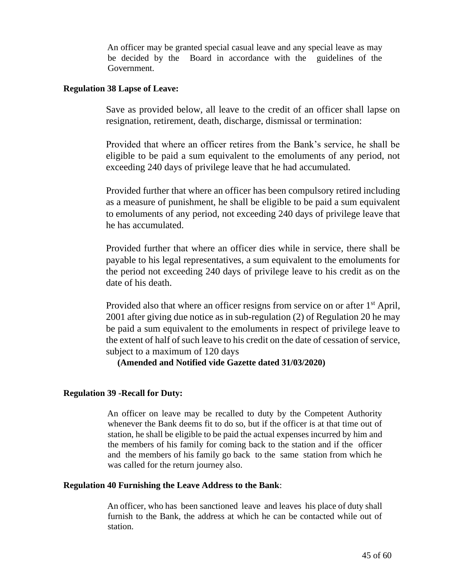An officer may be granted special casual leave and any special leave as may be decided by the Board in accordance with the guidelines of the Government.

## **Regulation 38 Lapse of Leave:**

Save as provided below, all leave to the credit of an officer shall lapse on resignation, retirement, death, discharge, dismissal or termination:

Provided that where an officer retires from the Bank's service, he shall be eligible to be paid a sum equivalent to the emoluments of any period, not exceeding 240 days of privilege leave that he had accumulated.

Provided further that where an officer has been compulsory retired including as a measure of punishment, he shall be eligible to be paid a sum equivalent to emoluments of any period, not exceeding 240 days of privilege leave that he has accumulated.

Provided further that where an officer dies while in service, there shall be payable to his legal representatives, a sum equivalent to the emoluments for the period not exceeding 240 days of privilege leave to his credit as on the date of his death.

Provided also that where an officer resigns from service on or after 1<sup>st</sup> April, 2001 after giving due notice as in sub-regulation (2) of Regulation 20 he may be paid a sum equivalent to the emoluments in respect of privilege leave to the extent of half of such leave to his credit on the date of cessation of service, subject to a maximum of 120 days

## **(Amended and Notified vide Gazette dated 31/03/2020)**

## **Regulation 39 -Recall for Duty:**

An officer on leave may be recalled to duty by the Competent Authority whenever the Bank deems fit to do so, but if the officer is at that time out of station, he shall be eligible to be paid the actual expenses incurred by him and the members of his family for coming back to the station and if the officer and the members of his family go back to the same station from which he was called for the return journey also.

## **Regulation 40 Furnishing the Leave Address to the Bank**:

An officer, who has been sanctioned leave and leaves his place of duty shall furnish to the Bank, the address at which he can be contacted while out of station.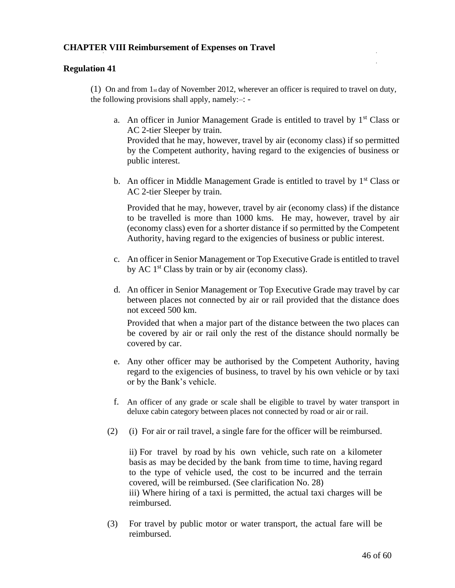## **CHAPTER VIII Reimbursement of Expenses on Travel**

#### **Regulation 41**

(1) On and from 1st day of November 2012, wherever an officer is required to travel on duty, the following provisions shall apply, namely:–: -

- a. An officer in Junior Management Grade is entitled to travel by  $1<sup>st</sup>$  Class or AC 2-tier Sleeper by train. Provided that he may, however, travel by air (economy class) if so permitted by the Competent authority, having regard to the exigencies of business or public interest.
- b. An officer in Middle Management Grade is entitled to travel by  $1<sup>st</sup> Class or$ AC 2-tier Sleeper by train.

Provided that he may, however, travel by air (economy class) if the distance to be travelled is more than 1000 kms. He may, however, travel by air (economy class) even for a shorter distance if so permitted by the Competent Authority, having regard to the exigencies of business or public interest.

- c. An officer in Senior Management or Top Executive Grade is entitled to travel by AC  $1<sup>st</sup>$  Class by train or by air (economy class).
- d. An officer in Senior Management or Top Executive Grade may travel by car between places not connected by air or rail provided that the distance does not exceed 500 km.

Provided that when a major part of the distance between the two places can be covered by air or rail only the rest of the distance should normally be covered by car.

- e. Any other officer may be authorised by the Competent Authority, having regard to the exigencies of business, to travel by his own vehicle or by taxi or by the Bank's vehicle.
- f. An officer of any grade or scale shall be eligible to travel by water transport in deluxe cabin category between places not connected by road or air or rail.
- (2) (i) For air or rail travel, a single fare for the officer will be reimbursed.

ii) For travel by road by his own vehicle, such rate on a kilometer basis as may be decided by the bank from time to time, having regard to the type of vehicle used, the cost to be incurred and the terrain covered, will be reimbursed. (See clarification No. 28) iii) Where hiring of a taxi is permitted, the actual taxi charges will be reimbursed.

(3) For travel by public motor or water transport, the actual fare will be reimbursed.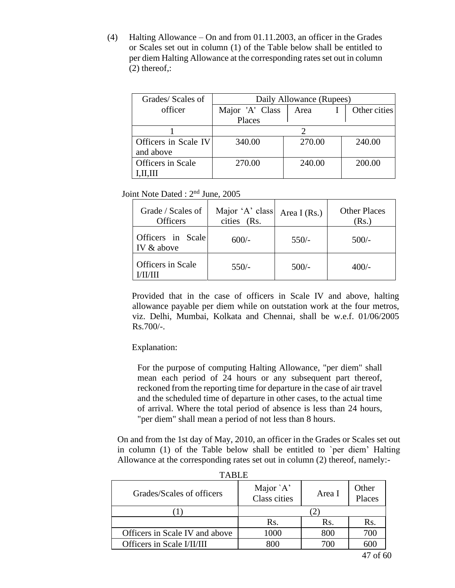(4) Halting Allowance – On and from 01.11.2003, an officer in the Grades or Scales set out in column (1) of the Table below shall be entitled to per diem Halting Allowance at the corresponding rates set out in column (2) thereof,:

| Grades/Scales of     | Daily Allowance (Rupees) |        |              |
|----------------------|--------------------------|--------|--------------|
| officer              | Major 'A' Class          | Area   | Other cities |
|                      | Places                   |        |              |
|                      |                          |        |              |
| Officers in Scale IV | 340.00                   | 270.00 | 240.00       |
| and above            |                          |        |              |
| Officers in Scale    | 270.00                   | 240.00 | 200.00       |
|                      |                          |        |              |

Joint Note Dated : 2nd June, 2005

| Grade / Scales of<br><b>Officers</b> | Major 'A' class<br>cities (Rs. | Area I $(Rs.)$ | <b>Other Places</b><br>(Rs.) |
|--------------------------------------|--------------------------------|----------------|------------------------------|
| Officers in Scale<br>IV & above      | $600/-$                        | $550/-$        | $500/-$                      |
| Officers in Scale                    | $550/-$                        | $500/-$        | $400/-$                      |

Provided that in the case of officers in Scale IV and above, halting allowance payable per diem while on outstation work at the four metros, viz. Delhi, Mumbai, Kolkata and Chennai, shall be w.e.f. 01/06/2005 Rs.700/-.

Explanation:

For the purpose of computing Halting Allowance, "per diem" shall mean each period of 24 hours or any subsequent part thereof, reckoned from the reporting time for departure in the case of air travel and the scheduled time of departure in other cases, to the actual time of arrival. Where the total period of absence is less than 24 hours, "per diem" shall mean a period of not less than 8 hours.

On and from the 1st day of May, 2010, an officer in the Grades or Scales set out in column (1) of the Table below shall be entitled to `per diem' Halting Allowance at the corresponding rates set out in column (2) thereof, namely:-

| .                              |                           |        |                 |  |  |
|--------------------------------|---------------------------|--------|-----------------|--|--|
| Grades/Scales of officers      | Major `A'<br>Class cities | Area I | Other<br>Places |  |  |
|                                |                           |        |                 |  |  |
|                                | Rs.                       | Rs.    | Rs.             |  |  |
| Officers in Scale IV and above | 1000                      | 800    | 700             |  |  |
| Officers in Scale I/II/III     | ጸ00                       | 70 O   |                 |  |  |

TABLE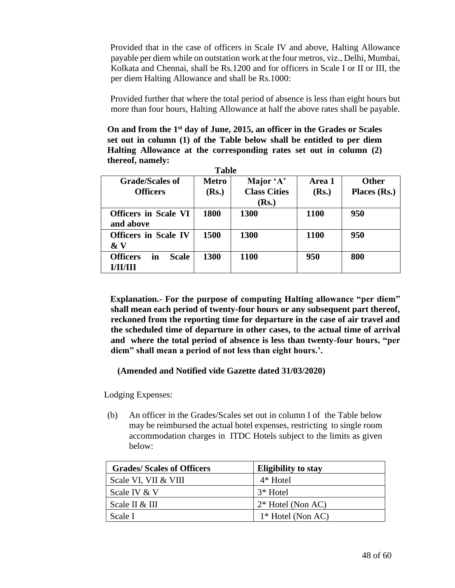Provided that in the case of officers in Scale IV and above, Halting Allowance payable per diem while on outstation work at the four metros, viz., Delhi, Mumbai, Kolkata and Chennai, shall be Rs.1200 and for officers in Scale I or II or III, the per diem Halting Allowance and shall be Rs.1000:

Provided further that where the total period of absence is less than eight hours but more than four hours, Halting Allowance at half the above rates shall be payable.

**On and from the 1st day of June, 2015, an officer in the Grades or Scales set out in column (1) of the Table below shall be entitled to per diem Halting Allowance at the corresponding rates set out in column (2) thereof, namely:** 

**Table**

|                                                          | 1 avit                |                                  |                 |                              |
|----------------------------------------------------------|-----------------------|----------------------------------|-----------------|------------------------------|
| <b>Grade/Scales of</b><br><b>Officers</b>                | <b>Metro</b><br>(Rs.) | Major 'A'<br><b>Class Cities</b> | Area 1<br>(Rs.) | <b>Other</b><br>Places (Rs.) |
|                                                          |                       | ( <b>Rs.</b> )                   |                 |                              |
| <b>Officers in Scale VI</b><br>and above                 | 1800                  | 1300                             | <b>1100</b>     | 950                          |
| <b>Officers</b> in Scale IV<br>$\& V$                    | 1500                  | 1300                             | <b>1100</b>     | 950                          |
| <b>Officers</b><br>in<br><b>Scale</b><br><b>I/II/III</b> | 1300                  | 1100                             | 950             | 800                          |

**Explanation.- For the purpose of computing Halting allowance "per diem" shall mean each period of twenty-four hours or any subsequent part thereof, reckoned from the reporting time for departure in the case of air travel and the scheduled time of departure in other cases, to the actual time of arrival and where the total period of absence is less than twenty-four hours, "per diem" shall mean a period of not less than eight hours.'.**

## **(Amended and Notified vide Gazette dated 31/03/2020)**

Lodging Expenses:

(b) An officer in the Grades/Scales set out in column I of the Table below may be reimbursed the actual hotel expenses, restricting to single room accommodation charges in ITDC Hotels subject to the limits as given below:

| <b>Grades/Scales of Officers</b> | <b>Eligibility to stay</b> |
|----------------------------------|----------------------------|
| Scale VI, VII & VIII             | $4*$ Hotel                 |
| Scale IV & V                     | 3* Hotel                   |
| Scale II & III                   | $2*$ Hotel (Non AC)        |
| Scale I                          | $1*$ Hotel (Non AC)        |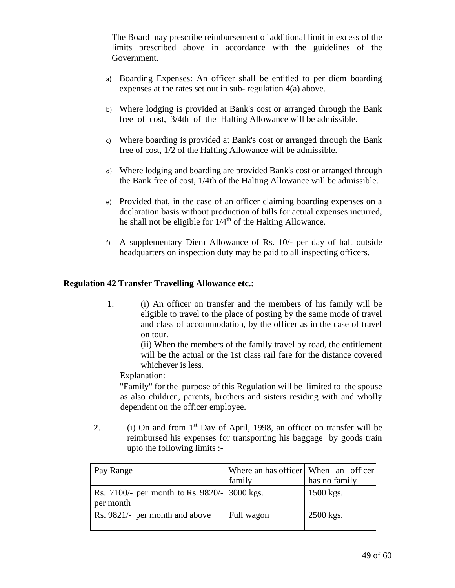The Board may prescribe reimbursement of additional limit in excess of the limits prescribed above in accordance with the guidelines of the Government.

- a) Boarding Expenses: An officer shall be entitled to per diem boarding expenses at the rates set out in sub- regulation 4(a) above.
- b) Where lodging is provided at Bank's cost or arranged through the Bank free of cost, 3/4th of the Halting Allowance will be admissible.
- c) Where boarding is provided at Bank's cost or arranged through the Bank free of cost, 1/2 of the Halting Allowance will be admissible.
- d) Where lodging and boarding are provided Bank's cost or arranged through the Bank free of cost, 1/4th of the Halting Allowance will be admissible.
- e) Provided that, in the case of an officer claiming boarding expenses on a declaration basis without production of bills for actual expenses incurred, he shall not be eligible for  $1/4<sup>th</sup>$  of the Halting Allowance.
- f) A supplementary Diem Allowance of Rs. 10/- per day of halt outside headquarters on inspection duty may be paid to all inspecting officers.

# **Regulation 42 Transfer Travelling Allowance etc.:**

1. (i) An officer on transfer and the members of his family will be eligible to travel to the place of posting by the same mode of travel and class of accommodation, by the officer as in the case of travel on tour.

> (ii) When the members of the family travel by road, the entitlement will be the actual or the 1st class rail fare for the distance covered whichever is less.

Explanation:

"Family" for the purpose of this Regulation will be limited to the spouse as also children, parents, brothers and sisters residing with and wholly dependent on the officer employee.

2. (i) On and from  $1<sup>st</sup>$  Day of April, 1998, an officer on transfer will be reimbursed his expenses for transporting his baggage by goods train upto the following limits :-

| Pay Range                                                 | Where an has officer   When an officer |               |
|-----------------------------------------------------------|----------------------------------------|---------------|
|                                                           | family                                 | has no family |
| Rs. 7100/- per month to Rs. 9820/- 3000 kgs.<br>per month |                                        | $1500$ kgs.   |
| Rs. 9821/- per month and above                            | Full wagon                             | 2500 kgs.     |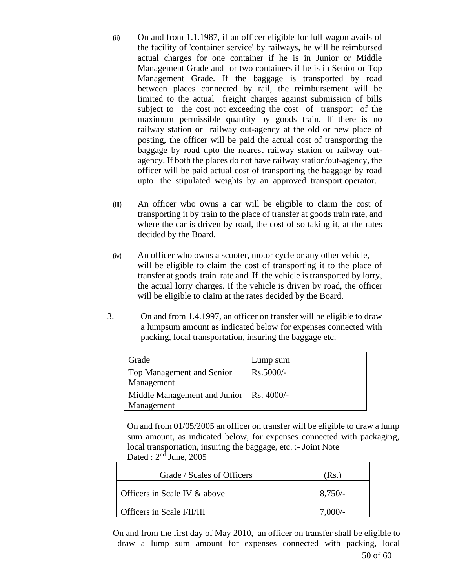- (ii) On and from 1.1.1987, if an officer eligible for full wagon avails of the facility of 'container service' by railways, he will be reimbursed actual charges for one container if he is in Junior or Middle Management Grade and for two containers if he is in Senior or Top Management Grade. If the baggage is transported by road between places connected by rail, the reimbursement will be limited to the actual freight charges against submission of bills subject to the cost not exceeding the cost of transport of the maximum permissible quantity by goods train. If there is no railway station or railway out-agency at the old or new place of posting, the officer will be paid the actual cost of transporting the baggage by road upto the nearest railway station or railway outagency. If both the places do not have railway station/out-agency, the officer will be paid actual cost of transporting the baggage by road upto the stipulated weights by an approved transport operator.
- (iii) An officer who owns a car will be eligible to claim the cost of transporting it by train to the place of transfer at goods train rate, and where the car is driven by road, the cost of so taking it, at the rates decided by the Board.
- (iv) An officer who owns a scooter, motor cycle or any other vehicle, will be eligible to claim the cost of transporting it to the place of transfer at goods train rate and If the vehicle is transported by lorry, the actual lorry charges. If the vehicle is driven by road, the officer will be eligible to claim at the rates decided by the Board.
- 3. On and from 1.4.1997, an officer on transfer will be eligible to draw a lumpsum amount as indicated below for expenses connected with packing, local transportation, insuring the baggage etc.

| Grade                                                   | Lump sum    |
|---------------------------------------------------------|-------------|
| Top Management and Senior<br>Management                 | $Rs.5000/-$ |
| Middle Management and Junior   Rs. 4000/-<br>Management |             |

On and from 01/05/2005 an officer on transfer will be eligible to draw a lump sum amount, as indicated below, for expenses connected with packaging, local transportation, insuring the baggage, etc. :- Joint Note Dated :  $2<sup>nd</sup>$  June, 2005

| Grade / Scales of Officers   | (Rs.)     |
|------------------------------|-----------|
| Officers in Scale IV & above | $8,750/-$ |
| Officers in Scale I/II/III   | 7.000/-   |

50 of 60 On and from the first day of May 2010, an officer on transfer shall be eligible to draw a lump sum amount for expenses connected with packing, local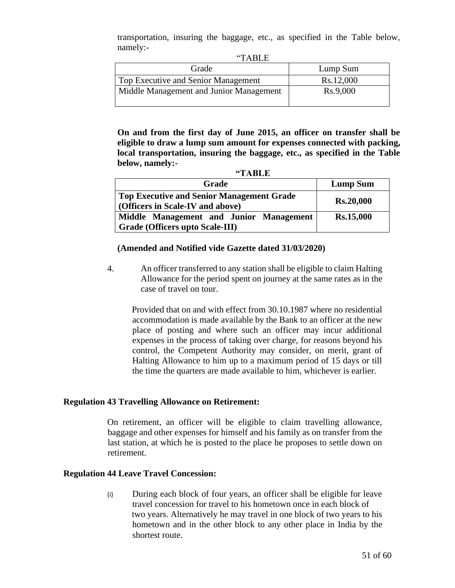transportation, insuring the baggage, etc., as specified in the Table below, namely:-  $(TAT)$ 

| $\mathbf{H}$ TABLE                      |           |
|-----------------------------------------|-----------|
| Grade                                   | Lump Sum  |
| Top Executive and Senior Management     | Rs.12,000 |
| Middle Management and Junior Management | Rs.9,000  |
|                                         |           |

**On and from the first day of June 2015, an officer on transfer shall be eligible to draw a lump sum amount for expenses connected with packing, local transportation, insuring the baggage, etc., as specified in the Table below, namely:-**

| <b>Grade</b>                                                                         | <b>Lump Sum</b>  |
|--------------------------------------------------------------------------------------|------------------|
| Top Executive and Senior Management Grade<br><b>(Officers in Scale-IV and above)</b> | <b>Rs.20,000</b> |
| Middle Management and Junior Management<br>  Grade (Officers upto Scale-III)         | <b>Rs.15,000</b> |

**"TABLE**

## **(Amended and Notified vide Gazette dated 31/03/2020)**

4. An officer transferred to any station shall be eligible to claim Halting Allowance for the period spent on journey at the same rates as in the case of travel on tour.

Provided that on and with effect from 30.10.1987 where no residential accommodation is made available by the Bank to an officer at the new place of posting and where such an officer may incur additional expenses in the process of taking over charge, for reasons beyond his control, the Competent Authority may consider, on merit, grant of Halting Allowance to him up to a maximum period of 15 days or till the time the quarters are made available to him, whichever is earlier.

## **Regulation 43 Travelling Allowance on Retirement:**

On retirement, an officer will be eligible to claim travelling allowance, baggage and other expenses for himself and his family as on transfer from the last station, at which he is posted to the place he proposes to settle down on retirement.

## **Regulation 44 Leave Travel Concession:**

(i) During each block of four years, an officer shall be eligible for leave travel concession for travel to his hometown once in each block of two years. Alternatively he may travel in one block of two years to his hometown and in the other block to any other place in India by the shortest route.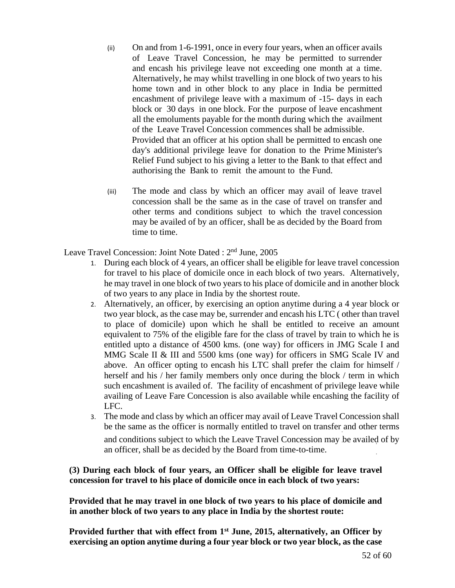- (ii) On and from 1-6-1991, once in every four years, when an officer avails of Leave Travel Concession, he may be permitted to surrender and encash his privilege leave not exceeding one month at a time. Alternatively, he may whilst travelling in one block of two years to his home town and in other block to any place in India be permitted encashment of privilege leave with a maximum of -15- days in each block or 30 days in one block. For the purpose of leave encashment all the emoluments payable for the month during which the availment of the Leave Travel Concession commences shall be admissible. Provided that an officer at his option shall be permitted to encash one day's additional privilege leave for donation to the Prime Minister's Relief Fund subject to his giving a letter to the Bank to that effect and authorising the Bank to remit the amount to the Fund.
- (iii) The mode and class by which an officer may avail of leave travel concession shall be the same as in the case of travel on transfer and other terms and conditions subject to which the travel concession may be availed of by an officer, shall be as decided by the Board from time to time.

Leave Travel Concession: Joint Note Dated : 2<sup>nd</sup> June, 2005

- 1. During each block of 4 years, an officer shall be eligible for leave travel concession for travel to his place of domicile once in each block of two years. Alternatively, he may travel in one block of two years to his place of domicile and in another block of two years to any place in India by the shortest route.
- 2. Alternatively, an officer, by exercising an option anytime during a 4 year block or two year block, as the case may be, surrender and encash his LTC ( other than travel to place of domicile) upon which he shall be entitled to receive an amount equivalent to 75% of the eligible fare for the class of travel by train to which he is entitled upto a distance of 4500 kms. (one way) for officers in JMG Scale I and MMG Scale II & III and 5500 kms (one way) for officers in SMG Scale IV and above. An officer opting to encash his LTC shall prefer the claim for himself / herself and his / her family members only once during the block / term in which such encashment is availed of. The facility of encashment of privilege leave while availing of Leave Fare Concession is also available while encashing the facility of LFC.
- 3. The mode and class by which an officer may avail of Leave Travel Concession shall be the same as the officer is normally entitled to travel on transfer and other terms and conditions subject to which the Leave Travel Concession may be availed of by an officer, shall be as decided by the Board from time-to-time.

# **(3) During each block of four years, an Officer shall be eligible for leave travel concession for travel to his place of domicile once in each block of two years:**

**Provided that he may travel in one block of two years to his place of domicile and in another block of two years to any place in India by the shortest route:**

**Provided further that with effect from 1st June, 2015, alternatively, an Officer by exercising an option anytime during a four year block or two year block, as the case**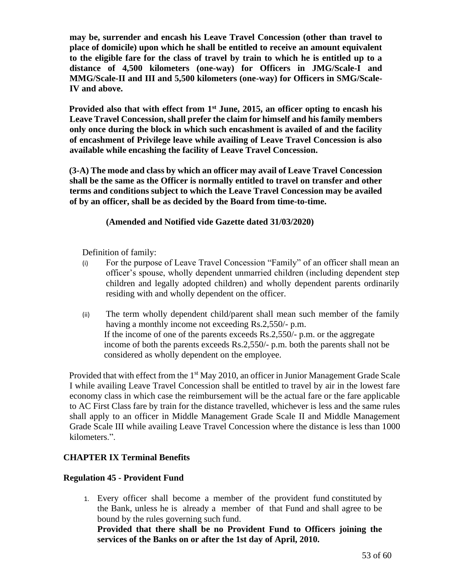**may be, surrender and encash his Leave Travel Concession (other than travel to place of domicile) upon which he shall be entitled to receive an amount equivalent to the eligible fare for the class of travel by train to which he is entitled up to a distance of 4,500 kilometers (one-way) for Officers in JMG/Scale-I and MMG/Scale-II and III and 5,500 kilometers (one-way) for Officers in SMG/Scale-IV and above.** 

**Provided also that with effect from 1st June, 2015, an officer opting to encash his Leave Travel Concession, shall prefer the claim for himself and his family members only once during the block in which such encashment is availed of and the facility of encashment of Privilege leave while availing of Leave Travel Concession is also available while encashing the facility of Leave Travel Concession.**

**(3-A) The mode and class by which an officer may avail of Leave Travel Concession shall be the same as the Officer is normally entitled to travel on transfer and other terms and conditions subject to which the Leave Travel Concession may be availed of by an officer, shall be as decided by the Board from time-to-time.**

# **(Amended and Notified vide Gazette dated 31/03/2020)**

Definition of family:

- (i) For the purpose of Leave Travel Concession "Family" of an officer shall mean an officer's spouse, wholly dependent unmarried children (including dependent step children and legally adopted children) and wholly dependent parents ordinarily residing with and wholly dependent on the officer.
- (ii) The term wholly dependent child/parent shall mean such member of the family having a monthly income not exceeding Rs.2,550/- p.m. If the income of one of the parents exceeds Rs.2,550/- p.m. or the aggregate income of both the parents exceeds Rs.2,550/- p.m. both the parents shall not be considered as wholly dependent on the employee.

Provided that with effect from the 1<sup>st</sup> May 2010, an officer in Junior Management Grade Scale I while availing Leave Travel Concession shall be entitled to travel by air in the lowest fare economy class in which case the reimbursement will be the actual fare or the fare applicable to AC First Class fare by train for the distance travelled, whichever is less and the same rules shall apply to an officer in Middle Management Grade Scale II and Middle Management Grade Scale III while availing Leave Travel Concession where the distance is less than 1000 kilometers.".

# **CHAPTER IX Terminal Benefits**

## **Regulation 45 - Provident Fund**

1. Every officer shall become a member of the provident fund constituted by the Bank, unless he is already a member of that Fund and shall agree to be bound by the rules governing such fund. **Provided that there shall be no Provident Fund to Officers joining the** 

**services of the Banks on or after the 1st day of April, 2010.**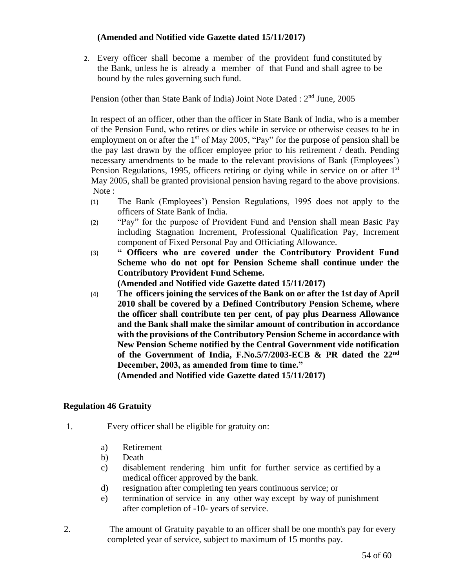# **(Amended and Notified vide Gazette dated 15/11/2017)**

2. Every officer shall become a member of the provident fund constituted by the Bank, unless he is already a member of that Fund and shall agree to be bound by the rules governing such fund.

Pension (other than State Bank of India) Joint Note Dated : 2nd June, 2005

In respect of an officer, other than the officer in State Bank of India, who is a member of the Pension Fund, who retires or dies while in service or otherwise ceases to be in employment on or after the  $1<sup>st</sup>$  of May 2005, "Pay" for the purpose of pension shall be the pay last drawn by the officer employee prior to his retirement / death. Pending necessary amendments to be made to the relevant provisions of Bank (Employees') Pension Regulations, 1995, officers retiring or dying while in service on or after 1<sup>st</sup> May 2005, shall be granted provisional pension having regard to the above provisions. Note :

- (1) The Bank (Employees') Pension Regulations, 1995 does not apply to the officers of State Bank of India.
- (2) "Pay" for the purpose of Provident Fund and Pension shall mean Basic Pay including Stagnation Increment, Professional Qualification Pay, Increment component of Fixed Personal Pay and Officiating Allowance.
- (3) **" Officers who are covered under the Contributory Provident Fund Scheme who do not opt for Pension Scheme shall continue under the Contributory Provident Fund Scheme.**

**(Amended and Notified vide Gazette dated 15/11/2017)**

(4) **The officers joining the services of the Bank on or after the 1st day of April 2010 shall be covered by a Defined Contributory Pension Scheme, where the officer shall contribute ten per cent, of pay plus Dearness Allowance and the Bank shall make the similar amount of contribution in accordance with the provisions of the Contributory Pension Scheme in accordance with New Pension Scheme notified by the Central Government vide notification of the Government of India, F.No.5/7/2003-ECB & PR dated the 22nd December, 2003, as amended from time to time."**

**(Amended and Notified vide Gazette dated 15/11/2017)**

# **Regulation 46 Gratuity**

- 1. Every officer shall be eligible for gratuity on:
	- a) Retirement
	- b) Death
	- c) disablement rendering him unfit for further service as certified by a medical officer approved by the bank.
	- d) resignation after completing ten years continuous service; or
	- e) termination of service in any other way except by way of punishment after completion of -10- years of service.
- 2. The amount of Gratuity payable to an officer shall be one month's pay for every completed year of service, subject to maximum of 15 months pay.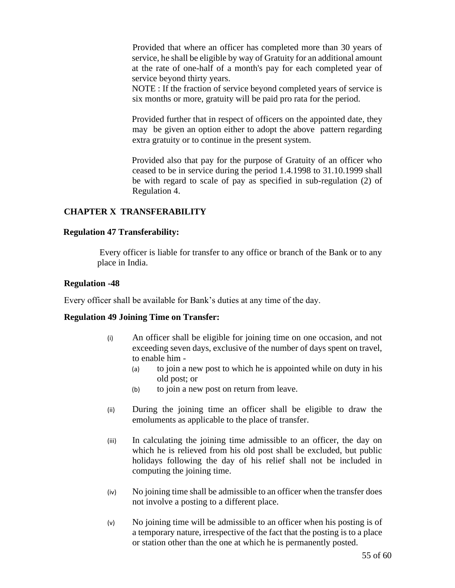Provided that where an officer has completed more than 30 years of service, he shall be eligible by way of Gratuity for an additional amount at the rate of one-half of a month's pay for each completed year of service beyond thirty years.

NOTE : If the fraction of service beyond completed years of service is six months or more, gratuity will be paid pro rata for the period.

Provided further that in respect of officers on the appointed date, they may be given an option either to adopt the above pattern regarding extra gratuity or to continue in the present system.

Provided also that pay for the purpose of Gratuity of an officer who ceased to be in service during the period 1.4.1998 to 31.10.1999 shall be with regard to scale of pay as specified in sub-regulation (2) of Regulation 4.

## **CHAPTER X TRANSFERABILITY**

#### **Regulation 47 Transferability:**

Every officer is liable for transfer to any office or branch of the Bank or to any place in India.

#### **Regulation -48**

Every officer shall be available for Bank's duties at any time of the day.

#### **Regulation 49 Joining Time on Transfer:**

- (i) An officer shall be eligible for joining time on one occasion, and not exceeding seven days, exclusive of the number of days spent on travel, to enable him -
	- (a) to join a new post to which he is appointed while on duty in his old post; or
	- (b) to join a new post on return from leave.
- (ii) During the joining time an officer shall be eligible to draw the emoluments as applicable to the place of transfer.
- (iii) In calculating the joining time admissible to an officer, the day on which he is relieved from his old post shall be excluded, but public holidays following the day of his relief shall not be included in computing the joining time.
- (iv) No joining time shall be admissible to an officer when the transfer does not involve a posting to a different place.
- (v) No joining time will be admissible to an officer when his posting is of a temporary nature, irrespective of the fact that the posting is to a place or station other than the one at which he is permanently posted.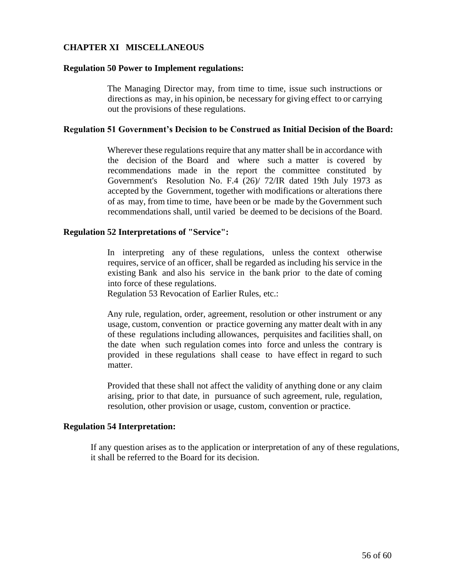# **CHAPTER XI MISCELLANEOUS**

#### **Regulation 50 Power to Implement regulations:**

The Managing Director may, from time to time, issue such instructions or directions as may, in his opinion, be necessary for giving effect to or carrying out the provisions of these regulations.

#### **Regulation 51 Government's Decision to be Construed as Initial Decision of the Board:**

Wherever these regulations require that any matter shall be in accordance with the decision of the Board and where such a matter is covered by recommendations made in the report the committee constituted by Government's Resolution No. F.4 (26)/ 72/IR dated 19th July 1973 as accepted by the Government, together with modifications or alterations there of as may, from time to time, have been or be made by the Government such recommendations shall, until varied be deemed to be decisions of the Board.

#### **Regulation 52 Interpretations of "Service":**

In interpreting any of these regulations, unless the context otherwise requires, service of an officer, shall be regarded as including his service in the existing Bank and also his service in the bank prior to the date of coming into force of these regulations.

Regulation 53 Revocation of Earlier Rules, etc.:

Any rule, regulation, order, agreement, resolution or other instrument or any usage, custom, convention or practice governing any matter dealt with in any of these regulations including allowances, perquisites and facilities shall, on the date when such regulation comes into force and unless the contrary is provided in these regulations shall cease to have effect in regard to such matter.

Provided that these shall not affect the validity of anything done or any claim arising, prior to that date, in pursuance of such agreement, rule, regulation, resolution, other provision or usage, custom, convention or practice.

#### **Regulation 54 Interpretation:**

If any question arises as to the application or interpretation of any of these regulations, it shall be referred to the Board for its decision.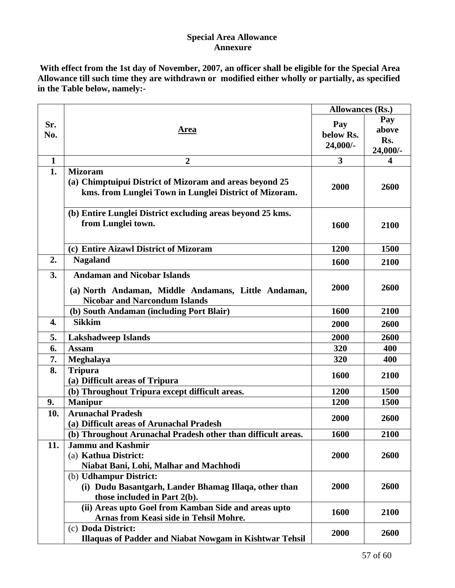# **Special Area Allowance Annexure**

**With effect from the 1st day of November, 2007, an officer shall be eligible for the Special Area Allowance till such time they are withdrawn or modified either wholly or partially, as specified in the Table below, namely:-**

|                  |                                                                                                                                     | <b>Allowances (Rs.)</b>      |                                 |
|------------------|-------------------------------------------------------------------------------------------------------------------------------------|------------------------------|---------------------------------|
| Sr.<br>No.       | Area                                                                                                                                | Pay<br>below Rs.<br>24,000/- | Pay<br>above<br>Rs.<br>24,000/- |
| $\mathbf{1}$     | $\boldsymbol{2}$                                                                                                                    | 3                            | 4                               |
| 1.               | <b>Mizoram</b><br>(a) Chimptuipui District of Mizoram and areas beyond 25<br>kms. from Lunglei Town in Lunglei District of Mizoram. | 2000                         | 2600                            |
|                  | (b) Entire Lunglei District excluding areas beyond 25 kms.<br>from Lunglei town.                                                    | 1600                         | 2100                            |
|                  | (c) Entire Aizawl District of Mizoram                                                                                               | 1200                         | 1500                            |
| 2.               | <b>Nagaland</b>                                                                                                                     | 1600                         | 2100                            |
| 3.               | <b>Andaman and Nicobar Islands</b><br>(a) North Andaman, Middle Andamans, Little Andaman,<br><b>Nicobar and Narcondum Islands</b>   | 2000                         | 2600                            |
|                  | (b) South Andaman (including Port Blair)                                                                                            | 1600                         | 2100                            |
| $\overline{4}$ . | <b>Sikkim</b>                                                                                                                       | 2000                         | 2600                            |
| 5.               | <b>Lakshadweep Islands</b>                                                                                                          | 2000                         | 2600                            |
| 6.               | <b>Assam</b>                                                                                                                        | 320                          | 400                             |
| 7.               | Meghalaya                                                                                                                           | 320                          | 400                             |
| 8.               | <b>Tripura</b><br>(a) Difficult areas of Tripura                                                                                    | 1600                         | 2100                            |
|                  | (b) Throughout Tripura except difficult areas.                                                                                      | 1200                         | 1500                            |
| 9.               | <b>Manipur</b>                                                                                                                      | 1200                         | 1500                            |
| 10.              | <b>Arunachal Pradesh</b><br>(a) Difficult areas of Arunachal Pradesh                                                                | 2000                         | 2600                            |
|                  | (b) Throughout Arunachal Pradesh other than difficult areas.                                                                        | <b>1600</b>                  | 2100                            |
| 11.              | <b>Jammu and Kashmir</b><br>(a) Kathua District:<br>Niabat Bani, Lohi, Malhar and Machhodi                                          | 2000                         | 2600                            |
|                  | (b) Udhampur District:<br>(i) Dudu Basantgarh, Lander Bhamag Illaqa, other than<br>those included in Part 2(b).                     | 2000                         | 2600                            |
|                  | (ii) Areas upto Goel from Kamban Side and areas upto<br>Arnas from Keasi side in Tehsil Mohre.                                      | 1600                         | 2100                            |
|                  | (c) Doda District:<br><b>Illaquas of Padder and Niabat Nowgam in Kishtwar Tehsil</b>                                                | 2000                         | 2600                            |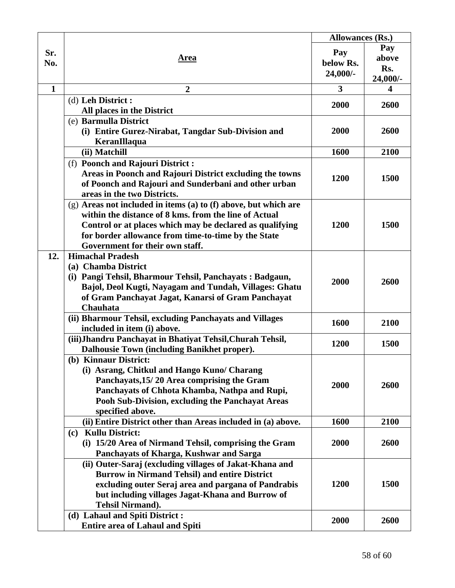|              |                                                                                     | <b>Allowances (Rs.)</b> |                         |
|--------------|-------------------------------------------------------------------------------------|-------------------------|-------------------------|
| Sr.          |                                                                                     | Pay                     | Pay                     |
| No.          | <u>Area</u>                                                                         | below Rs.               | above                   |
|              |                                                                                     | 24,000/-                | Rs.                     |
|              |                                                                                     |                         | 24,000/-                |
| $\mathbf{1}$ | $\boldsymbol{2}$                                                                    | 3                       | $\overline{\mathbf{4}}$ |
|              | (d) Leh District :                                                                  | 2000                    | 2600                    |
|              | All places in the District                                                          |                         |                         |
|              | (e) Barmulla District                                                               |                         |                         |
|              | (i) Entire Gurez-Nirabat, Tangdar Sub-Division and                                  | 2000                    | 2600                    |
|              | KeranIllaqua                                                                        |                         |                         |
|              | (ii) Matchill                                                                       | 1600                    | 2100                    |
|              | (f) Poonch and Rajouri District:                                                    |                         |                         |
|              | Areas in Poonch and Rajouri District excluding the towns                            | 1200                    | 1500                    |
|              | of Poonch and Rajouri and Sunderbani and other urban<br>areas in the two Districts. |                         |                         |
|              | $(g)$ Areas not included in items (a) to (f) above, but which are                   |                         |                         |
|              | within the distance of 8 kms. from the line of Actual                               |                         |                         |
|              | Control or at places which may be declared as qualifying                            | 1200                    | 1500                    |
|              | for border allowance from time-to-time by the State                                 |                         |                         |
|              | Government for their own staff.                                                     |                         |                         |
| 12.          | <b>Himachal Pradesh</b>                                                             |                         |                         |
|              | (a) Chamba District                                                                 |                         |                         |
|              | (i) Pangi Tehsil, Bharmour Tehsil, Panchayats: Badgaun,                             |                         |                         |
|              | Bajol, Deol Kugti, Nayagam and Tundah, Villages: Ghatu                              | 2000                    | 2600                    |
|              | of Gram Panchayat Jagat, Kanarsi of Gram Panchayat                                  |                         |                         |
|              | Chauhata                                                                            |                         |                         |
|              | (ii) Bharmour Tehsil, excluding Panchayats and Villages                             | 1600                    | 2100                    |
|              | included in item (i) above.                                                         |                         |                         |
|              | (iii) Jhandru Panchayat in Bhatiyat Tehsil, Churah Tehsil,                          | 1200                    | 1500                    |
|              | Dalhousie Town (including Banikhet proper).                                         |                         |                         |
|              | (b) Kinnaur District:                                                               |                         |                         |
|              | (i) Asrang, Chitkul and Hango Kuno/ Charang                                         | 2000                    | 2600                    |
|              | Panchayats, 15/20 Area comprising the Gram                                          |                         |                         |
|              | Panchayats of Chhota Khamba, Nathpa and Rupi,                                       |                         |                         |
|              | Pooh Sub-Division, excluding the Panchayat Areas                                    |                         |                         |
|              | specified above.<br>(ii) Entire District other than Areas included in (a) above.    | 1600                    | 2100                    |
|              | (c) Kullu District:                                                                 |                         |                         |
|              | (i) 15/20 Area of Nirmand Tehsil, comprising the Gram                               | 2000                    | 2600                    |
|              | Panchayats of Kharga, Kushwar and Sarga                                             |                         |                         |
|              | (ii) Outer-Saraj (excluding villages of Jakat-Khana and                             |                         |                         |
|              | <b>Burrow in Nirmand Tehsil) and entire District</b>                                |                         |                         |
|              | excluding outer Seraj area and pargana of Pandrabis                                 | 1200                    | 1500                    |
|              | but including villages Jagat-Khana and Burrow of                                    |                         |                         |
|              | <b>Tehsil Nirmand).</b>                                                             |                         |                         |
|              | (d) Lahaul and Spiti District:                                                      |                         |                         |
|              | <b>Entire area of Lahaul and Spiti</b>                                              | 2000                    | 2600                    |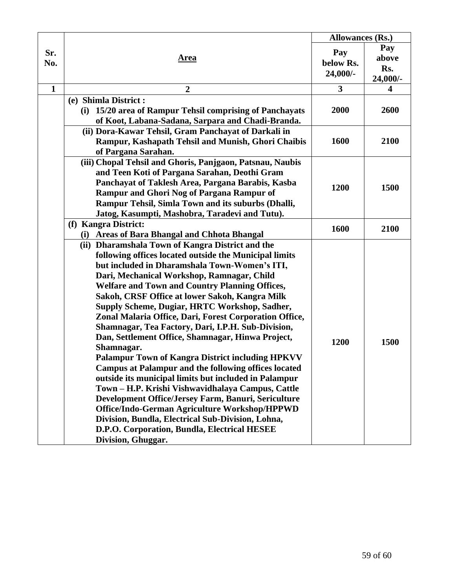|              |                                                                                                                                                                                                                                                                                                                                                                                                                                                                                                                                                                                                                                                                                                                                                                                                                                                                                                                                                                                                                                     | <b>Allowances (Rs.)</b>        |                                 |
|--------------|-------------------------------------------------------------------------------------------------------------------------------------------------------------------------------------------------------------------------------------------------------------------------------------------------------------------------------------------------------------------------------------------------------------------------------------------------------------------------------------------------------------------------------------------------------------------------------------------------------------------------------------------------------------------------------------------------------------------------------------------------------------------------------------------------------------------------------------------------------------------------------------------------------------------------------------------------------------------------------------------------------------------------------------|--------------------------------|---------------------------------|
| Sr.<br>No.   | <u>Area</u>                                                                                                                                                                                                                                                                                                                                                                                                                                                                                                                                                                                                                                                                                                                                                                                                                                                                                                                                                                                                                         | Pay<br>below Rs.<br>$24,000/-$ | Pay<br>above<br>Rs.<br>24,000/- |
| $\mathbf{1}$ | $\overline{2}$                                                                                                                                                                                                                                                                                                                                                                                                                                                                                                                                                                                                                                                                                                                                                                                                                                                                                                                                                                                                                      | 3                              | $\overline{\mathbf{4}}$         |
|              | (e) Shimla District:<br>(i) 15/20 area of Rampur Tehsil comprising of Panchayats<br>of Koot, Labana-Sadana, Sarpara and Chadi-Branda.                                                                                                                                                                                                                                                                                                                                                                                                                                                                                                                                                                                                                                                                                                                                                                                                                                                                                               | 2000                           | 2600                            |
|              | (ii) Dora-Kawar Tehsil, Gram Panchayat of Darkali in<br>Rampur, Kashapath Tehsil and Munish, Ghori Chaibis<br>of Pargana Sarahan.                                                                                                                                                                                                                                                                                                                                                                                                                                                                                                                                                                                                                                                                                                                                                                                                                                                                                                   | 1600                           | 2100                            |
|              | (iii) Chopal Tehsil and Ghoris, Panjgaon, Patsnau, Naubis<br>and Teen Koti of Pargana Sarahan, Deothi Gram<br>Panchayat of Taklesh Area, Pargana Barabis, Kasba<br>Rampur and Ghori Nog of Pargana Rampur of<br>Rampur Tehsil, Simla Town and its suburbs (Dhalli,<br>Jatog, Kasumpti, Mashobra, Taradevi and Tutu).                                                                                                                                                                                                                                                                                                                                                                                                                                                                                                                                                                                                                                                                                                                | 1200                           | 1500                            |
|              | (f) Kangra District:<br>(i) Areas of Bara Bhangal and Chhota Bhangal                                                                                                                                                                                                                                                                                                                                                                                                                                                                                                                                                                                                                                                                                                                                                                                                                                                                                                                                                                | 1600                           | 2100                            |
|              | (ii) Dharamshala Town of Kangra District and the<br>following offices located outside the Municipal limits<br>but included in Dharamshala Town-Women's ITI,<br>Dari, Mechanical Workshop, Ramnagar, Child<br><b>Welfare and Town and Country Planning Offices,</b><br>Sakoh, CRSF Office at lower Sakoh, Kangra Milk<br>Supply Scheme, Dugiar, HRTC Workshop, Sadher,<br>Zonal Malaria Office, Dari, Forest Corporation Office,<br>Shamnagar, Tea Factory, Dari, I.P.H. Sub-Division,<br>Dan, Settlement Office, Shamnagar, Hinwa Project,<br>Shamnagar.<br><b>Palampur Town of Kangra District including HPKVV</b><br><b>Campus at Palampur and the following offices located</b><br>outside its municipal limits but included in Palampur<br>Town - H.P. Krishi Vishwavidhalaya Campus, Cattle<br>Development Office/Jersey Farm, Banuri, Sericulture<br>Office/Indo-German Agriculture Workshop/HPPWD<br>Division, Bundla, Electrical Sub-Division, Lohna,<br>D.P.O. Corporation, Bundla, Electrical HESEE<br>Division, Ghuggar. | 1200                           | 1500                            |